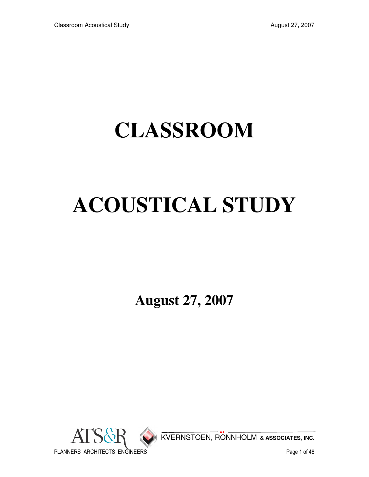## **CLASSROOM**

# **ACOUSTICAL STUDY**

**August 27, 2007** 

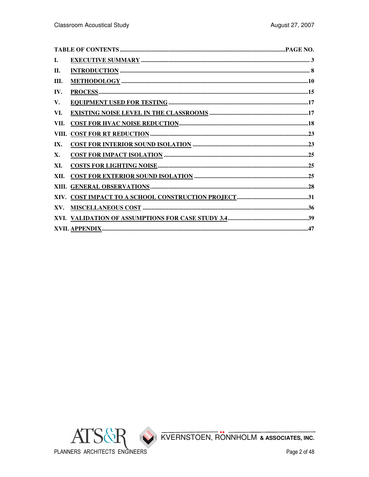| Ι.    |  |
|-------|--|
| П.    |  |
| Ш.    |  |
| IV.   |  |
| V.    |  |
| VI.   |  |
| VII.  |  |
| VIII. |  |
| IX.   |  |
| X.    |  |
| XI.   |  |
| XII.  |  |
|       |  |
|       |  |
| XV.   |  |
|       |  |
|       |  |
|       |  |

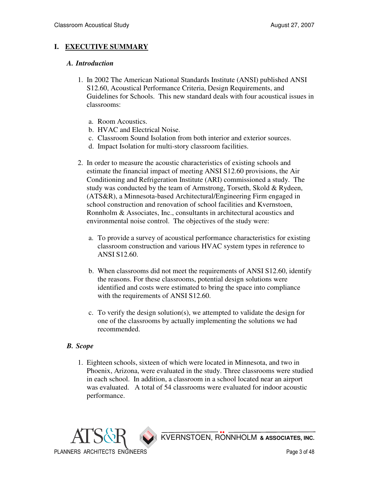## **I. EXECUTIVE SUMMARY**

#### *A. Introduction*

- 1. In 2002 The American National Standards Institute (ANSI) published ANSI S12.60, Acoustical Performance Criteria, Design Requirements, and Guidelines for Schools. This new standard deals with four acoustical issues in classrooms:
	- a. Room Acoustics.
	- b. HVAC and Electrical Noise.
	- c. Classroom Sound Isolation from both interior and exterior sources.
	- d. Impact Isolation for multi-story classroom facilities.
- 2. In order to measure the acoustic characteristics of existing schools and estimate the financial impact of meeting ANSI S12.60 provisions, the Air Conditioning and Refrigeration Institute (ARI) commissioned a study. The study was conducted by the team of Armstrong, Torseth, Skold & Rydeen, (ATS&R), a Minnesota-based Architectural/Engineering Firm engaged in school construction and renovation of school facilities and Kvernstoen, Ronnholm & Associates, Inc., consultants in architectural acoustics and environmental noise control. The objectives of the study were:
	- a. To provide a survey of acoustical performance characteristics for existing classroom construction and various HVAC system types in reference to ANSI S12.60.
	- b. When classrooms did not meet the requirements of ANSI S12.60, identify the reasons. For these classrooms, potential design solutions were identified and costs were estimated to bring the space into compliance with the requirements of ANSI S12.60.
	- c. To verify the design solution(s), we attempted to validate the design for one of the classrooms by actually implementing the solutions we had recommended.

#### *B. Scope*

 1. Eighteen schools, sixteen of which were located in Minnesota, and two in Phoenix, Arizona, were evaluated in the study. Three classrooms were studied in each school. In addition, a classroom in a school located near an airport was evaluated. A total of 54 classrooms were evaluated for indoor acoustic performance.

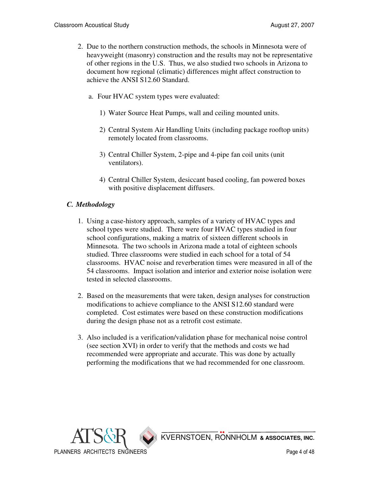- 2. Due to the northern construction methods, the schools in Minnesota were of heavyweight (masonry) construction and the results may not be representative of other regions in the U.S. Thus, we also studied two schools in Arizona to document how regional (climatic) differences might affect construction to achieve the ANSI S12.60 Standard.
	- a. Four HVAC system types were evaluated:
		- 1) Water Source Heat Pumps, wall and ceiling mounted units.
		- 2) Central System Air Handling Units (including package rooftop units) remotely located from classrooms.
		- 3) Central Chiller System, 2-pipe and 4-pipe fan coil units (unit ventilators).
		- 4) Central Chiller System, desiccant based cooling, fan powered boxes with positive displacement diffusers.

## *C. Methodology*

- 1. Using a case-history approach, samples of a variety of HVAC types and school types were studied. There were four HVAC types studied in four school configurations, making a matrix of sixteen different schools in Minnesota. The two schools in Arizona made a total of eighteen schools studied. Three classrooms were studied in each school for a total of 54 classrooms. HVAC noise and reverberation times were measured in all of the 54 classrooms. Impact isolation and interior and exterior noise isolation were tested in selected classrooms.
- 2. Based on the measurements that were taken, design analyses for construction modifications to achieve compliance to the ANSI S12.60 standard were completed. Cost estimates were based on these construction modifications during the design phase not as a retrofit cost estimate.
- 3. Also included is a verification/validation phase for mechanical noise control (see section XVI) in order to verify that the methods and costs we had recommended were appropriate and accurate. This was done by actually performing the modifications that we had recommended for one classroom.

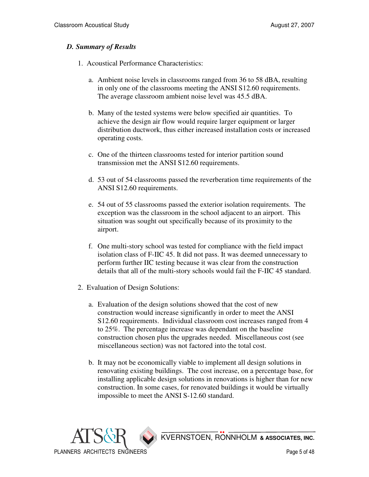#### *D. Summary of Results*

- 1. Acoustical Performance Characteristics:
	- a. Ambient noise levels in classrooms ranged from 36 to 58 dBA, resulting in only one of the classrooms meeting the ANSI S12.60 requirements. The average classroom ambient noise level was 45.5 dBA.
	- b. Many of the tested systems were below specified air quantities. To achieve the design air flow would require larger equipment or larger distribution ductwork, thus either increased installation costs or increased operating costs.
	- c. One of the thirteen classrooms tested for interior partition sound transmission met the ANSI S12.60 requirements.
	- d. 53 out of 54 classrooms passed the reverberation time requirements of the ANSI S12.60 requirements.
	- e. 54 out of 55 classrooms passed the exterior isolation requirements. The exception was the classroom in the school adjacent to an airport. This situation was sought out specifically because of its proximity to the airport.
	- f. One multi-story school was tested for compliance with the field impact isolation class of F-IIC 45. It did not pass. It was deemed unnecessary to perform further IIC testing because it was clear from the construction details that all of the multi-story schools would fail the F-IIC 45 standard.
- 2. Evaluation of Design Solutions:
	- a. Evaluation of the design solutions showed that the cost of new construction would increase significantly in order to meet the ANSI S12.60 requirements. Individual classroom cost increases ranged from 4 to 25%. The percentage increase was dependant on the baseline construction chosen plus the upgrades needed. Miscellaneous cost (see miscellaneous section) was not factored into the total cost.
	- b. It may not be economically viable to implement all design solutions in renovating existing buildings. The cost increase, on a percentage base, for installing applicable design solutions in renovations is higher than for new construction. In some cases, for renovated buildings it would be virtually impossible to meet the ANSI S-12.60 standard.

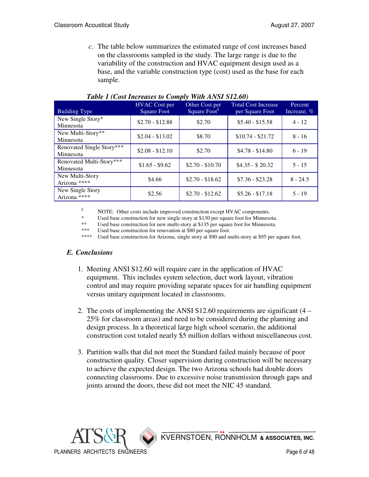*c.* The table below summarizes the estimated range of cost increases based on the classrooms sampled in the study. The large range is due to the variability of the construction and HVAC equipment design used as a base, and the variable construction type (cost) used as the base for each sample.

| <b>Building Type</b>                   | <b>HVAC</b> Cost per<br><b>Square Foot</b> | Other Cost per<br>Square Foot <sup>§</sup> | <b>Total Cost Increase</b><br>per Square Foot | Percent<br>Increase, % |  |  |
|----------------------------------------|--------------------------------------------|--------------------------------------------|-----------------------------------------------|------------------------|--|--|
| New Single Story*<br>Minnesota         | $$2.70 - $12.88$                           | \$2.70                                     | $$5.40 - $15.58$                              | $4 - 12$               |  |  |
| New Multi-Story**<br>Minnesota         | $$2.04 - $13.02$                           | \$8.70                                     | $$10.74 - $21.72$                             | $8 - 16$               |  |  |
| Renovated Single Story***<br>Minnesota | $$2.08 - $12.10$                           | \$2.70                                     | $$4.78 - $14.80$                              | $6 - 19$               |  |  |
| Renovated Multi-Story***<br>Minnesota  | $$1.65 - $9.62$                            | $$2.70 - $10.70$                           | $$4.35 - $20.32$                              | $5 - 15$               |  |  |
| New Multi-Story<br>Arizona ****        | \$4.66                                     | $$2.70 - $18.62$                           | $$7.36 - $23.28$                              | $8 - 24.5$             |  |  |
| New Single Story<br>Arizona ****       | \$2.56                                     | $$2.70 - $12.62$                           | $$5.26 - $17.18$                              | $5 - 19$               |  |  |

#### *Table 1 (Cost Increases to Comply With ANSI S12.60)*

 $\frac{8}{1000}$  NOTE: Other costs include improved construction except HVAC components.

Used base construction for new single story at \$130 per square foot for Minnesota.

\*\* Used base construction for new multi-story at \$135 per square foot for Minnesota.<br>\*\*\* Used base construction for repovation at \$80 per square foot

\*\*\* Used base construction for renovation at \$80 per square foot.<br>\*\*\*\* Used base construction for Arizona, single story at \$90 and m

Used base construction for Arizona, single story at \$90 and multi-story at \$95 per square foot.

#### *E. Conclusions*

- 1. Meeting ANSI S12.60 will require care in the application of HVAC equipment. This includes system selection, duct work layout, vibration control and may require providing separate spaces for air handling equipment versus unitary equipment located in classrooms.
- 2. The costs of implementing the ANSI S12.60 requirements are significant (4 25% for classroom areas) and need to be considered during the planning and design process. In a theoretical large high school scenario, the additional construction cost totaled nearly \$5 million dollars without miscellaneous cost.
- 3. Partition walls that did not meet the Standard failed mainly because of poor construction quality. Closer supervision during construction will be necessary to achieve the expected design. The two Arizona schools had double doors connecting classrooms. Due to excessive noise transmission through gaps and joints around the doors, these did not meet the NIC 45 standard.

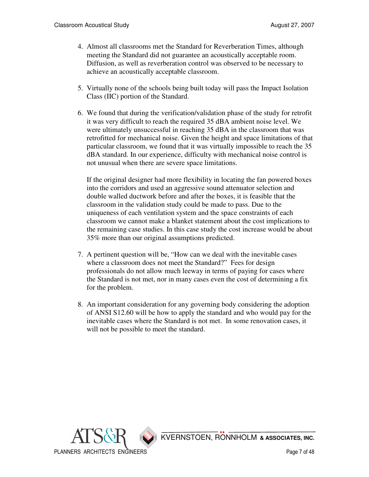- 4. Almost all classrooms met the Standard for Reverberation Times, although meeting the Standard did not guarantee an acoustically acceptable room. Diffusion, as well as reverberation control was observed to be necessary to achieve an acoustically acceptable classroom.
- 5. Virtually none of the schools being built today will pass the Impact Isolation Class (IIC) portion of the Standard.
- 6. We found that during the verification/validation phase of the study for retrofit it was very difficult to reach the required 35 dBA ambient noise level. We were ultimately unsuccessful in reaching 35 dBA in the classroom that was retrofitted for mechanical noise. Given the height and space limitations of that particular classroom, we found that it was virtually impossible to reach the 35 dBA standard. In our experience, difficulty with mechanical noise control is not unusual when there are severe space limitations.

If the original designer had more flexibility in locating the fan powered boxes into the corridors and used an aggressive sound attenuator selection and double walled ductwork before and after the boxes, it is feasible that the classroom in the validation study could be made to pass. Due to the uniqueness of each ventilation system and the space constraints of each classroom we cannot make a blanket statement about the cost implications to the remaining case studies. In this case study the cost increase would be about 35% more than our original assumptions predicted.

- 7. A pertinent question will be, "How can we deal with the inevitable cases where a classroom does not meet the Standard?" Fees for design professionals do not allow much leeway in terms of paying for cases where the Standard is not met, nor in many cases even the cost of determining a fix for the problem.
- 8. An important consideration for any governing body considering the adoption of ANSI S12.60 will be how to apply the standard and who would pay for the inevitable cases where the Standard is not met. In some renovation cases, it will not be possible to meet the standard.

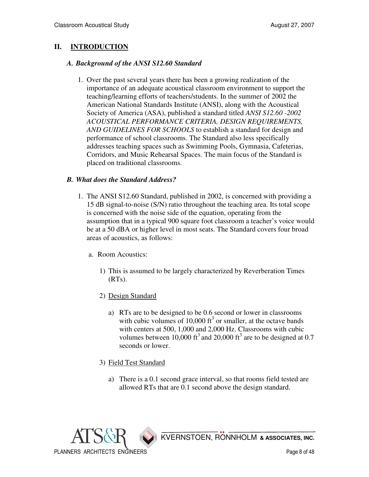## **II. INTRODUCTION**

#### *A. Background of the ANSI S12.60 Standard*

 1. Over the past several years there has been a growing realization of the importance of an adequate acoustical classroom environment to support the teaching/learning efforts of teachers/students. In the summer of 2002 the American National Standards Institute (ANSI), along with the Acoustical Society of America (ASA), published a standard titled *ANSI S12.60 -2002 ACOUSTICAL PERFORMANCE CRITERIA, DESIGN REQUIREMENTS, AND GUIDELINES FOR SCHOOLS* to establish a standard for design and performance of school classrooms. The Standard also less specifically addresses teaching spaces such as Swimming Pools, Gymnasia, Cafeterias, Corridors, and Music Rehearsal Spaces. The main focus of the Standard is placed on traditional classrooms.

#### *B. What does the Standard Address?*

- 1. The ANSI S12.60 Standard, published in 2002, is concerned with providing a 15 dB signal-to-noise (S/N) ratio throughout the teaching area. Its total scope is concerned with the noise side of the equation, operating from the assumption that in a typical 900 square foot classroom a teacher's voice would be at a 50 dBA or higher level in most seats. The Standard covers four broad areas of acoustics, as follows:
	- a. Room Acoustics:
		- 1) This is assumed to be largely characterized by Reverberation Times (RTs).
		- 2) Design Standard
			- a) RTs are to be designed to be 0.6 second or lower in classrooms with cubic volumes of 10,000  $\text{ft}^3$  or smaller, at the octave bands with centers at 500, 1,000 and 2,000 Hz. Classrooms with cubic volumes between 10,000 ft<sup>3</sup> and 20,000 ft<sup>3</sup> are to be designed at 0.7 seconds or lower.
		- 3) Field Test Standard
			- a) There is a 0.1 second grace interval, so that rooms field tested are allowed RTs that are 0.1 second above the design standard.

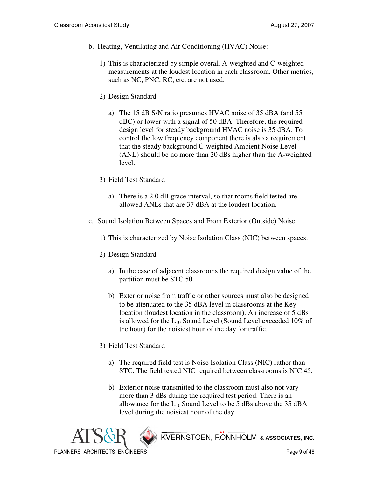- b. Heating, Ventilating and Air Conditioning (HVAC) Noise:
	- 1) This is characterized by simple overall A-weighted and C-weighted measurements at the loudest location in each classroom. Other metrics, such as NC, PNC, RC, etc. are not used.
	- 2) Design Standard
		- a) The 15 dB S/N ratio presumes HVAC noise of 35 dBA (and 55 dBC) or lower with a signal of 50 dBA. Therefore, the required design level for steady background HVAC noise is 35 dBA. To control the low frequency component there is also a requirement that the steady background C-weighted Ambient Noise Level (ANL) should be no more than 20 dBs higher than the A-weighted level.
	- 3) Field Test Standard
		- a) There is a 2.0 dB grace interval, so that rooms field tested are allowed ANLs that are 37 dBA at the loudest location.
- c. Sound Isolation Between Spaces and From Exterior (Outside) Noise:
	- 1) This is characterized by Noise Isolation Class (NIC) between spaces.
	- 2) Design Standard
		- a) In the case of adjacent classrooms the required design value of the partition must be STC 50.
		- b) Exterior noise from traffic or other sources must also be designed to be attenuated to the 35 dBA level in classrooms at the Key location (loudest location in the classroom). An increase of 5 dBs is allowed for the  $L_{10}$  Sound Level (Sound Level exceeded 10% of the hour) for the noisiest hour of the day for traffic.

## 3) Field Test Standard

- a) The required field test is Noise Isolation Class (NIC) rather than STC. The field tested NIC required between classrooms is NIC 45.
- b) Exterior noise transmitted to the classroom must also not vary more than 3 dBs during the required test period. There is an allowance for the  $L_{10}$  Sound Level to be 5 dBs above the 35 dBA level during the noisiest hour of the day.

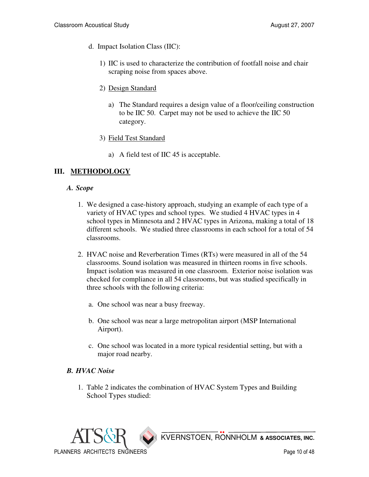- d. Impact Isolation Class (IIC):
	- 1) IIC is used to characterize the contribution of footfall noise and chair scraping noise from spaces above.
	- 2) Design Standard
		- a) The Standard requires a design value of a floor/ceiling construction to be IIC 50. Carpet may not be used to achieve the IIC 50 category.
	- 3) Field Test Standard
		- a) A field test of IIC 45 is acceptable.

## **III. METHODOLOGY**

#### *A. Scope*

- 1. We designed a case-history approach, studying an example of each type of a variety of HVAC types and school types. We studied 4 HVAC types in 4 school types in Minnesota and 2 HVAC types in Arizona, making a total of 18 different schools. We studied three classrooms in each school for a total of 54 classrooms.
- 2. HVAC noise and Reverberation Times (RTs) were measured in all of the 54 classrooms. Sound isolation was measured in thirteen rooms in five schools. Impact isolation was measured in one classroom. Exterior noise isolation was checked for compliance in all 54 classrooms, but was studied specifically in three schools with the following criteria:
	- a. One school was near a busy freeway.
	- b. One school was near a large metropolitan airport (MSP International Airport).
	- c. One school was located in a more typical residential setting, but with a major road nearby.

#### *B. HVAC Noise*

 1. Table 2 indicates the combination of HVAC System Types and Building School Types studied:

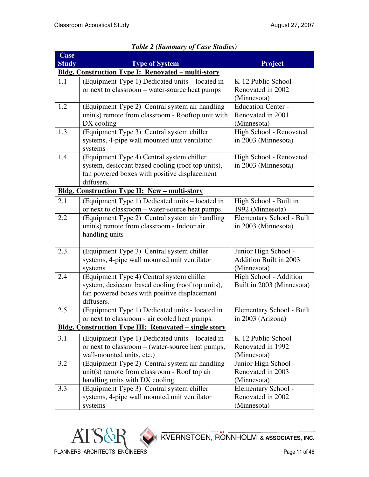| <b>Case</b>                                               |                                                              |                           |  |  |  |
|-----------------------------------------------------------|--------------------------------------------------------------|---------------------------|--|--|--|
| <b>Study</b>                                              | <b>Type of System</b>                                        | <b>Project</b>            |  |  |  |
| <b>Bldg. Construction Type I: Renovated - multi-story</b> |                                                              |                           |  |  |  |
| 1.1                                                       | (Equipment Type 1) Dedicated units – located in              | K-12 Public School -      |  |  |  |
|                                                           | or next to classroom – water-source heat pumps               | Renovated in 2002         |  |  |  |
|                                                           |                                                              | (Minnesota)               |  |  |  |
| 1.2                                                       | (Equipment Type 2) Central system air handling               | <b>Education Center -</b> |  |  |  |
|                                                           | unit(s) remote from classroom - Rooftop unit with            | Renovated in 2001         |  |  |  |
|                                                           | DX cooling                                                   | (Minnesota)               |  |  |  |
| 1.3                                                       | (Equipment Type 3) Central system chiller                    | High School - Renovated   |  |  |  |
|                                                           | systems, 4-pipe wall mounted unit ventilator                 | in 2003 (Minnesota)       |  |  |  |
|                                                           | systems                                                      |                           |  |  |  |
| 1.4                                                       | (Equipment Type 4) Central system chiller                    | High School - Renovated   |  |  |  |
|                                                           | system, desiccant based cooling (roof top units),            | in 2003 (Minnesota)       |  |  |  |
|                                                           | fan powered boxes with positive displacement<br>diffusers.   |                           |  |  |  |
|                                                           | <b>Bldg. Construction Type II: New - multi-story</b>         |                           |  |  |  |
| 2.1                                                       | (Equipment Type 1) Dedicated units – located in              | High School - Built in    |  |  |  |
|                                                           | or next to classroom – water-source heat pumps               | 1992 (Minnesota)          |  |  |  |
| 2.2                                                       | (Equipment Type 2) Central system air handling               | Elementary School - Built |  |  |  |
|                                                           | unit(s) remote from classroom - Indoor air                   | in 2003 (Minnesota)       |  |  |  |
|                                                           | handling units                                               |                           |  |  |  |
|                                                           |                                                              |                           |  |  |  |
| 2.3                                                       | (Equipment Type 3) Central system chiller                    | Junior High School -      |  |  |  |
|                                                           | systems, 4-pipe wall mounted unit ventilator                 | Addition Built in 2003    |  |  |  |
|                                                           | systems                                                      | (Minnesota)               |  |  |  |
| 2.4                                                       | (Equipment Type 4) Central system chiller                    | High School - Addition    |  |  |  |
|                                                           | system, desiccant based cooling (roof top units),            | Built in 2003 (Minnesota) |  |  |  |
|                                                           | fan powered boxes with positive displacement                 |                           |  |  |  |
|                                                           | diffusers.                                                   |                           |  |  |  |
| 2.5                                                       | (Equipment Type 1) Dedicated units - located in              | Elementary School - Built |  |  |  |
|                                                           | or next to classroom - air cooled heat pumps.                | in 2003 (Arizona)         |  |  |  |
|                                                           | <b>Bldg. Construction Type III: Renovated – single story</b> |                           |  |  |  |
| 3.1                                                       | (Equipment Type 1) Dedicated units – located in              | K-12 Public School -      |  |  |  |
|                                                           | or next to classroom - (water-source heat pumps,             | Renovated in 1992         |  |  |  |
|                                                           | wall-mounted units, etc.)                                    | (Minnesota)               |  |  |  |
| 3.2                                                       | (Equipment Type 2) Central system air handling               | Junior High School -      |  |  |  |
|                                                           | unit(s) remote from classroom - Roof top air                 | Renovated in 2003         |  |  |  |
|                                                           | handling units with DX cooling                               | (Minnesota)               |  |  |  |
| 3.3                                                       | (Equipment Type 3) Central system chiller                    | Elementary School -       |  |  |  |
|                                                           | systems, 4-pipe wall mounted unit ventilator                 | Renovated in 2002         |  |  |  |
|                                                           | systems                                                      | (Minnesota)               |  |  |  |

## *Table 2 (Summary of Case Studies)*

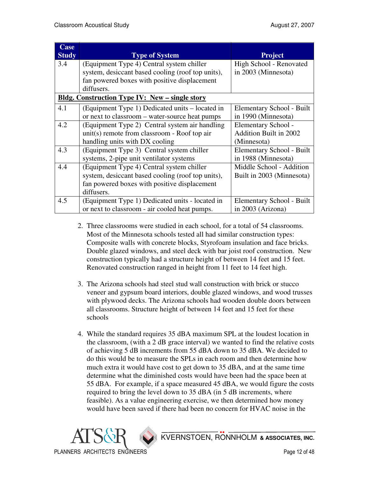| <b>Case</b><br><b>Study</b> | <b>Type of System</b>                                 | <b>Project</b>            |
|-----------------------------|-------------------------------------------------------|---------------------------|
| 3.4                         | (Equipment Type 4) Central system chiller             | High School - Renovated   |
|                             | system, desiccant based cooling (roof top units),     | in 2003 (Minnesota)       |
|                             | fan powered boxes with positive displacement          |                           |
|                             | diffusers.                                            |                           |
|                             | <b>Bldg. Construction Type IV: New – single story</b> |                           |
| 4.1                         | (Equipment Type 1) Dedicated units – located in       | Elementary School - Built |
|                             | or next to classroom – water-source heat pumps        | in 1990 (Minnesota)       |
| 4.2                         | (Equipment Type 2) Central system air handling        | Elementary School -       |
|                             | unit(s) remote from classroom - Roof top air          | Addition Built in 2002    |
|                             | handling units with DX cooling                        | (Minnesota)               |
| 4.3                         | (Equipment Type 3) Central system chiller             | Elementary School - Built |
|                             | systems, 2-pipe unit ventilator systems               | in 1988 (Minnesota)       |
| 4.4                         | (Equipment Type 4) Central system chiller             | Middle School - Addition  |
|                             | system, desiccant based cooling (roof top units),     | Built in 2003 (Minnesota) |
|                             | fan powered boxes with positive displacement          |                           |
|                             | diffusers.                                            |                           |
| 4.5                         | (Equipment Type 1) Dedicated units - located in       | Elementary School - Built |
|                             | or next to classroom - air cooled heat pumps.         | in 2003 (Arizona)         |

- 2. Three classrooms were studied in each school, for a total of 54 classrooms. Most of the Minnesota schools tested all had similar construction types: Composite walls with concrete blocks, Styrofoam insulation and face bricks. Double glazed windows, and steel deck with bar joist roof construction. New construction typically had a structure height of between 14 feet and 15 feet. Renovated construction ranged in height from 11 feet to 14 feet high.
- 3. The Arizona schools had steel stud wall construction with brick or stucco veneer and gypsum board interiors, double glazed windows, and wood trusses with plywood decks. The Arizona schools had wooden double doors between all classrooms. Structure height of between 14 feet and 15 feet for these schools
- 4. While the standard requires 35 dBA maximum SPL at the loudest location in the classroom, (with a 2 dB grace interval) we wanted to find the relative costs of achieving 5 dB increments from 55 dBA down to 35 dBA. We decided to do this would be to measure the SPLs in each room and then determine how much extra it would have cost to get down to 35 dBA, and at the same time determine what the diminished costs would have been had the space been at 55 dBA. For example, if a space measured 45 dBA, we would figure the costs required to bring the level down to 35 dBA (in 5 dB increments, where feasible). As a value engineering exercise, we then determined how money would have been saved if there had been no concern for HVAC noise in the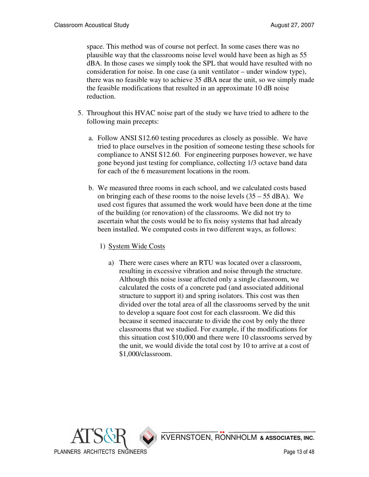space. This method was of course not perfect. In some cases there was no plausible way that the classrooms noise level would have been as high as 55 dBA. In those cases we simply took the SPL that would have resulted with no consideration for noise. In one case (a unit ventilator – under window type), there was no feasible way to achieve 35 dBA near the unit, so we simply made the feasible modifications that resulted in an approximate 10 dB noise reduction.

- 5. Throughout this HVAC noise part of the study we have tried to adhere to the following main precepts:
	- a. Follow ANSI S12.60 testing procedures as closely as possible. We have tried to place ourselves in the position of someone testing these schools for compliance to ANSI S12.60. For engineering purposes however, we have gone beyond just testing for compliance, collecting 1/3 octave band data for each of the 6 measurement locations in the room.
	- b. We measured three rooms in each school, and we calculated costs based on bringing each of these rooms to the noise levels  $(35 – 55$  dBA). We used cost figures that assumed the work would have been done at the time of the building (or renovation) of the classrooms. We did not try to ascertain what the costs would be to fix noisy systems that had already been installed. We computed costs in two different ways, as follows:
		- 1) System Wide Costs
			- a) There were cases where an RTU was located over a classroom, resulting in excessive vibration and noise through the structure. Although this noise issue affected only a single classroom, we calculated the costs of a concrete pad (and associated additional structure to support it) and spring isolators. This cost was then divided over the total area of all the classrooms served by the unit to develop a square foot cost for each classroom. We did this because it seemed inaccurate to divide the cost by only the three classrooms that we studied. For example, if the modifications for this situation cost \$10,000 and there were 10 classrooms served by the unit, we would divide the total cost by 10 to arrive at a cost of \$1,000/classroom.

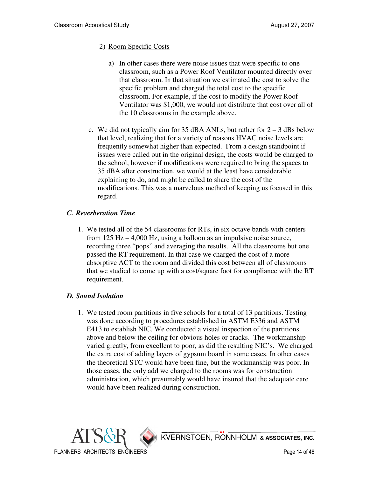#### 2) Room Specific Costs

- a) In other cases there were noise issues that were specific to one classroom, such as a Power Roof Ventilator mounted directly over that classroom. In that situation we estimated the cost to solve the specific problem and charged the total cost to the specific classroom. For example, if the cost to modify the Power Roof Ventilator was \$1,000, we would not distribute that cost over all of the 10 classrooms in the example above.
- c. We did not typically aim for 35 dBA ANLs, but rather for  $2 3$  dBs below that level, realizing that for a variety of reasons HVAC noise levels are frequently somewhat higher than expected. From a design standpoint if issues were called out in the original design, the costs would be charged to the school, however if modifications were required to bring the spaces to 35 dBA after construction, we would at the least have considerable explaining to do, and might be called to share the cost of the modifications. This was a marvelous method of keeping us focused in this regard.

#### *C. Reverberation Time*

 1. We tested all of the 54 classrooms for RTs, in six octave bands with centers from 125 Hz – 4,000 Hz, using a balloon as an impulsive noise source, recording three "pops" and averaging the results. All the classrooms but one passed the RT requirement. In that case we charged the cost of a more absorptive ACT to the room and divided this cost between all of classrooms that we studied to come up with a cost/square foot for compliance with the RT requirement.

#### *D. Sound Isolation*

 1. We tested room partitions in five schools for a total of 13 partitions. Testing was done according to procedures established in ASTM E336 and ASTM E413 to establish NIC. We conducted a visual inspection of the partitions above and below the ceiling for obvious holes or cracks. The workmanship varied greatly, from excellent to poor, as did the resulting NIC's. We charged the extra cost of adding layers of gypsum board in some cases. In other cases the theoretical STC would have been fine, but the workmanship was poor. In those cases, the only add we charged to the rooms was for construction administration, which presumably would have insured that the adequate care would have been realized during construction.

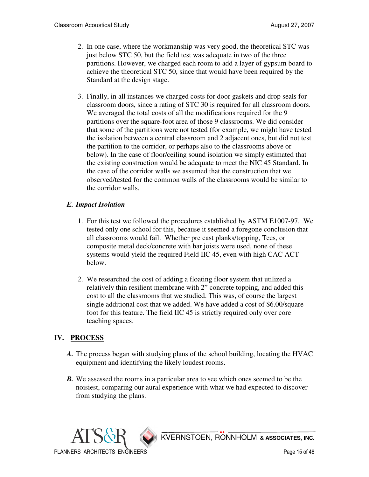- 2. In one case, where the workmanship was very good, the theoretical STC was just below STC 50, but the field test was adequate in two of the three partitions. However, we charged each room to add a layer of gypsum board to achieve the theoretical STC 50, since that would have been required by the Standard at the design stage.
- 3. Finally, in all instances we charged costs for door gaskets and drop seals for classroom doors, since a rating of STC 30 is required for all classroom doors. We averaged the total costs of all the modifications required for the 9 partitions over the square-foot area of those 9 classrooms. We did consider that some of the partitions were not tested (for example, we might have tested the isolation between a central classroom and 2 adjacent ones, but did not test the partition to the corridor, or perhaps also to the classrooms above or below). In the case of floor/ceiling sound isolation we simply estimated that the existing construction would be adequate to meet the NIC 45 Standard. In the case of the corridor walls we assumed that the construction that we observed/tested for the common walls of the classrooms would be similar to the corridor walls.

## *E. Impact Isolation*

- 1. For this test we followed the procedures established by ASTM E1007-97. We tested only one school for this, because it seemed a foregone conclusion that all classrooms would fail. Whether pre cast planks/topping, Tees, or composite metal deck/concrete with bar joists were used, none of these systems would yield the required Field IIC 45, even with high CAC ACT below.
- 2. We researched the cost of adding a floating floor system that utilized a relatively thin resilient membrane with 2" concrete topping, and added this cost to all the classrooms that we studied. This was, of course the largest single additional cost that we added. We have added a cost of \$6.00/square foot for this feature. The field IIC 45 is strictly required only over core teaching spaces.

## **IV. PROCESS**

- *A.* The process began with studying plans of the school building, locating the HVAC equipment and identifying the likely loudest rooms.
- *B*. We assessed the rooms in a particular area to see which ones seemed to be the noisiest, comparing our aural experience with what we had expected to discover from studying the plans.

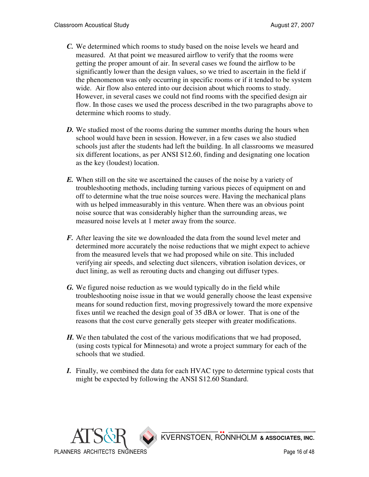- *C.* We determined which rooms to study based on the noise levels we heard and measured. At that point we measured airflow to verify that the rooms were getting the proper amount of air. In several cases we found the airflow to be significantly lower than the design values, so we tried to ascertain in the field if the phenomenon was only occurring in specific rooms or if it tended to be system wide. Air flow also entered into our decision about which rooms to study. However, in several cases we could not find rooms with the specified design air flow. In those cases we used the process described in the two paragraphs above to determine which rooms to study.
- *D.* We studied most of the rooms during the summer months during the hours when school would have been in session. However, in a few cases we also studied schools just after the students had left the building. In all classrooms we measured six different locations, as per ANSI S12.60, finding and designating one location as the key (loudest) location.
- *E.* When still on the site we ascertained the causes of the noise by a variety of troubleshooting methods, including turning various pieces of equipment on and off to determine what the true noise sources were. Having the mechanical plans with us helped immeasurably in this venture. When there was an obvious point noise source that was considerably higher than the surrounding areas, we measured noise levels at 1 meter away from the source.
- *F.* After leaving the site we downloaded the data from the sound level meter and determined more accurately the noise reductions that we might expect to achieve from the measured levels that we had proposed while on site. This included verifying air speeds, and selecting duct silencers, vibration isolation devices, or duct lining, as well as rerouting ducts and changing out diffuser types.
- *G.* We figured noise reduction as we would typically do in the field while troubleshooting noise issue in that we would generally choose the least expensive means for sound reduction first, moving progressively toward the more expensive fixes until we reached the design goal of 35 dBA or lower. That is one of the reasons that the cost curve generally gets steeper with greater modifications.
- *H.* We then tabulated the cost of the various modifications that we had proposed, (using costs typical for Minnesota) and wrote a project summary for each of the schools that we studied.
- *I.* Finally, we combined the data for each HVAC type to determine typical costs that might be expected by following the ANSI S12.60 Standard.

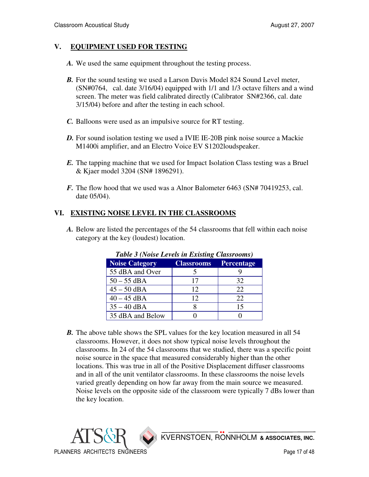## **V. EQUIPMENT USED FOR TESTING**

- *A.* We used the same equipment throughout the testing process.
- *B.* For the sound testing we used a Larson Davis Model 824 Sound Level meter, (SN#0764, cal. date 3/16/04) equipped with 1/1 and 1/3 octave filters and a wind screen. The meter was field calibrated directly (Calibrator SN#2366, cal. date 3/15/04) before and after the testing in each school.
- *C.* Balloons were used as an impulsive source for RT testing.
- *D.* For sound isolation testing we used a IVIE IE-20B pink noise source a Mackie M1400i amplifier, and an Electro Voice EV S1202loudspeaker.
- *E.* The tapping machine that we used for Impact Isolation Class testing was a Bruel & Kjaer model 3204 (SN# 1896291).
- *F.* The flow hood that we used was a Alnor Balometer 6463 (SN# 70419253, cal.) date 05/04).

## **VI. EXISTING NOISE LEVEL IN THE CLASSROOMS**

 *A.* Below are listed the percentages of the 54 classrooms that fell within each noise category at the key (loudest) location.

| <b>Noise Category</b> | <b>Classrooms</b> | <b>Percentage</b> |
|-----------------------|-------------------|-------------------|
| 55 dBA and Over       |                   |                   |
| $50 - 55$ dBA         | 17                | 32                |
| $45 - 50$ dBA         | 12                | 22                |
| $40 - 45$ dBA         | 12                | 22                |
| $35 - 40$ dBA         |                   | 15                |
| 35 dBA and Below      |                   |                   |

#### *Table 3 (Noise Levels in Existing Classrooms)*

*B*. The above table shows the SPL values for the key location measured in all 54 classrooms. However, it does not show typical noise levels throughout the classrooms. In 24 of the 54 classrooms that we studied, there was a specific point noise source in the space that measured considerably higher than the other locations. This was true in all of the Positive Displacement diffuser classrooms and in all of the unit ventilator classrooms. In these classrooms the noise levels varied greatly depending on how far away from the main source we measured. Noise levels on the opposite side of the classroom were typically 7 dBs lower than the key location.

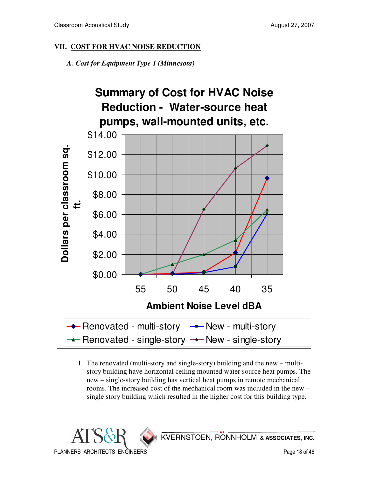## **VII. COST FOR HVAC NOISE REDUCTION**

 *A. Cost for Equipment Type 1 (Minnesota)* 



 1. The renovated (multi-story and single-story) building and the new – multistory building have horizontal ceiling mounted water source heat pumps. The new – single-story building has vertical heat pumps in remote mechanical rooms. The increased cost of the mechanical room was included in the new – single story building which resulted in the higher cost for this building type.

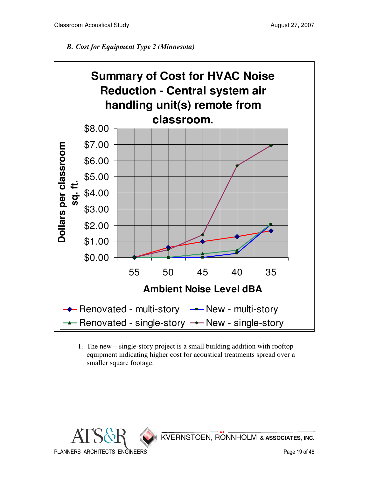## *B. Cost for Equipment Type 2 (Minnesota)*



 1. The new – single-story project is a small building addition with rooftop equipment indicating higher cost for acoustical treatments spread over a smaller square footage.

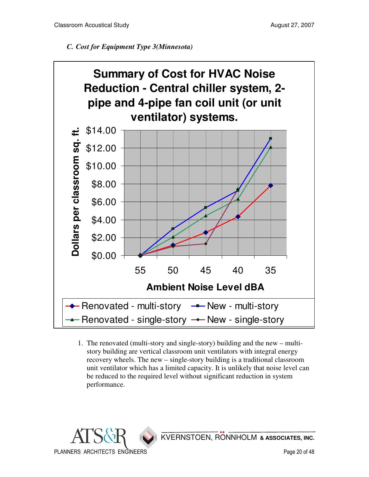



 1. The renovated (multi-story and single-story) building and the new – multistory building are vertical classroom unit ventilators with integral energy recovery wheels. The new – single-story building is a traditional classroom unit ventilator which has a limited capacity. It is unlikely that noise level can be reduced to the required level without significant reduction in system performance.

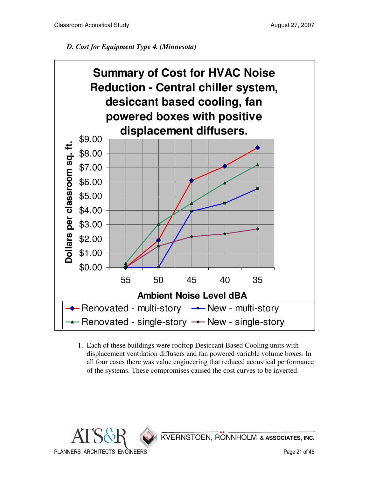## *D. Cost for Equipment Type 4. (Minnesota)*



 1. Each of these buildings were rooftop Desiccant Based Cooling units with displacement ventilation diffusers and fan powered variable volume boxes. In all four cases there was value engineering that reduced acoustical performance of the systems. These compromises caused the cost curves to be inverted.

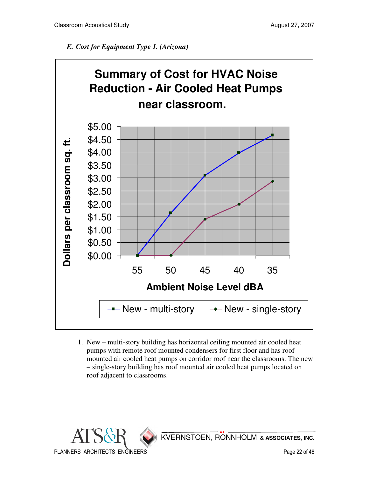



 1. New – multi-story building has horizontal ceiling mounted air cooled heat pumps with remote roof mounted condensers for first floor and has roof mounted air cooled heat pumps on corridor roof near the classrooms. The new – single-story building has roof mounted air cooled heat pumps located on roof adjacent to classrooms.

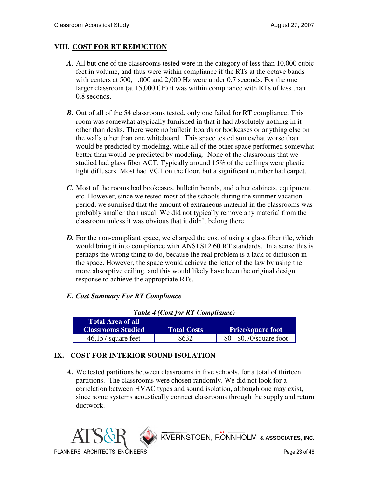## **VIII. COST FOR RT REDUCTION**

- *A.* All but one of the classrooms tested were in the category of less than 10,000 cubic feet in volume, and thus were within compliance if the RTs at the octave bands with centers at 500, 1,000 and 2,000 Hz were under 0.7 seconds. For the one larger classroom (at 15,000 CF) it was within compliance with RTs of less than 0.8 seconds.
- *B.* Out of all of the 54 classrooms tested, only one failed for RT compliance. This room was somewhat atypically furnished in that it had absolutely nothing in it other than desks. There were no bulletin boards or bookcases or anything else on the walls other than one whiteboard. This space tested somewhat worse than would be predicted by modeling, while all of the other space performed somewhat better than would be predicted by modeling. None of the classrooms that we studied had glass fiber ACT. Typically around 15% of the ceilings were plastic light diffusers. Most had VCT on the floor, but a significant number had carpet.
- *C.* Most of the rooms had bookcases, bulletin boards, and other cabinets, equipment, etc. However, since we tested most of the schools during the summer vacation period, we surmised that the amount of extraneous material in the classrooms was probably smaller than usual. We did not typically remove any material from the classroom unless it was obvious that it didn't belong there.
- *D*. For the non-compliant space, we charged the cost of using a glass fiber tile, which would bring it into compliance with ANSI S12.60 RT standards. In a sense this is perhaps the wrong thing to do, because the real problem is a lack of diffusion in the space. However, the space would achieve the letter of the law by using the more absorptive ceiling, and this would likely have been the original design response to achieve the appropriate RTs.

#### *E. Cost Summary For RT Compliance*

| Table $\rightarrow$ (Cost for KT Compliance) |                    |                           |  |  |
|----------------------------------------------|--------------------|---------------------------|--|--|
| <b>Total Area of all</b>                     |                    |                           |  |  |
| <b>Classrooms Studied</b>                    | <b>Total Costs</b> | <b>Price/square foot</b>  |  |  |
| $46,157$ square feet                         | \$632              | $$0 - $0.70$ /square foot |  |  |

## *Table 4 (Cost for RT Compliance)*

#### **IX. COST FOR INTERIOR SOUND ISOLATION**

 *A.* We tested partitions between classrooms in five schools, for a total of thirteen partitions. The classrooms were chosen randomly. We did not look for a correlation between HVAC types and sound isolation, although one may exist, since some systems acoustically connect classrooms through the supply and return ductwork.

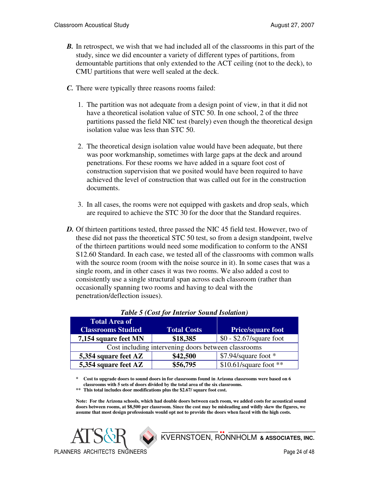- **B.** In retrospect, we wish that we had included all of the classrooms in this part of the study, since we did encounter a variety of different types of partitions, from demountable partitions that only extended to the ACT ceiling (not to the deck), to CMU partitions that were well sealed at the deck.
- *C.* There were typically three reasons rooms failed:
	- 1. The partition was not adequate from a design point of view, in that it did not have a theoretical isolation value of STC 50. In one school, 2 of the three partitions passed the field NIC test (barely) even though the theoretical design isolation value was less than STC 50.
	- 2. The theoretical design isolation value would have been adequate, but there was poor workmanship, sometimes with large gaps at the deck and around penetrations. For these rooms we have added in a square foot cost of construction supervision that we posited would have been required to have achieved the level of construction that was called out for in the construction documents.
	- 3. In all cases, the rooms were not equipped with gaskets and drop seals, which are required to achieve the STC 30 for the door that the Standard requires.
- *D.* Of thirteen partitions tested, three passed the NIC 45 field test. However, two of these did not pass the theoretical STC 50 test, so from a design standpoint, twelve of the thirteen partitions would need some modification to conform to the ANSI S12.60 Standard. In each case, we tested all of the classrooms with common walls with the source room (room with the noise source in it). In some cases that was a single room, and in other cases it was two rooms. We also added a cost to consistently use a single structural span across each classroom (rather than occasionally spanning two rooms and having to deal with the penetration/deflection issues).

| <b>Total Area of</b><br><b>Classrooms Studied</b>   | <b>Total Costs</b> | <b>Price/square foot</b>  |  |  |
|-----------------------------------------------------|--------------------|---------------------------|--|--|
| 7,154 square feet MN                                | \$18,385           | $$0 - $2.67$ /square foot |  |  |
| Cost including intervening doors between classrooms |                    |                           |  |  |
| 5,354 square feet AZ                                | \$42,500           | $$7.94$ /square foot *    |  |  |
| 5,354 square feet AZ                                | \$56,795           | $$10.61$ /square foot **  |  |  |

|  |  |  |  |  | <b>Table 5 (Cost for Interior Sound Isolation)</b> |
|--|--|--|--|--|----------------------------------------------------|
|--|--|--|--|--|----------------------------------------------------|

**\* Cost to upgrade doors to sound doors in for classrooms found in Arizona classrooms were based on 6 classrooms with 5 sets of doors divided by the total area of the six classrooms.** 

**\*\* This total includes door modifications plus the \$2.67/ square foot cost.** 

**Note: For the Arizona schools, which had double doors between each room, we added costs for acoustical sound doors between rooms, at \$8,500 per classroom. Since the cost may be misleading and wildly skew the figures, we assume that most design professionals would opt not to provide the doors when faced with the high costs.** 

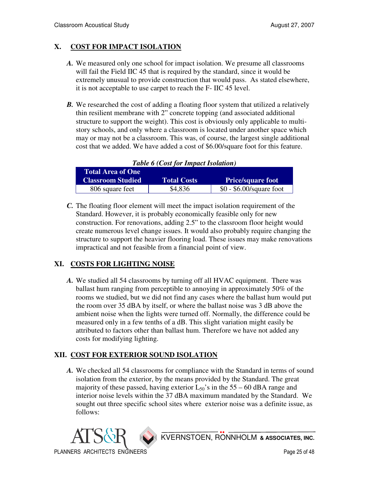## **X. COST FOR IMPACT ISOLATION**

- *A.* We measured only one school for impact isolation. We presume all classrooms will fail the Field IIC 45 that is required by the standard, since it would be extremely unusual to provide construction that would pass. As stated elsewhere, it is not acceptable to use carpet to reach the F- IIC 45 level.
- *B.* We researched the cost of adding a floating floor system that utilized a relatively thin resilient membrane with 2" concrete topping (and associated additional structure to support the weight). This cost is obviously only applicable to multistory schools, and only where a classroom is located under another space which may or may not be a classroom. This was, of course, the largest single additional cost that we added. We have added a cost of \$6.00/square foot for this feature.

|                          | Tuble of Cost for Impact Isolation |                           |  |  |  |  |
|--------------------------|------------------------------------|---------------------------|--|--|--|--|
| <b>Total Area of One</b> |                                    |                           |  |  |  |  |
| <b>Classroom Studied</b> | <b>Total Costs</b>                 | <b>Price/square foot</b>  |  |  |  |  |
| 806 square feet          | \$4,836                            | $$0 - $6.00$ /square foot |  |  |  |  |

*Table 6 (Cost for Impact Isolation)* 

 *C.* The floating floor element will meet the impact isolation requirement of the Standard. However, it is probably economically feasible only for new construction. For renovations, adding 2.5" to the classroom floor height would create numerous level change issues. It would also probably require changing the structure to support the heavier flooring load. These issues may make renovations impractical and not feasible from a financial point of view.

## **XI. COSTS FOR LIGHTING NOISE**

 *A.* We studied all 54 classrooms by turning off all HVAC equipment. There was ballast hum ranging from perceptible to annoying in approximately 50% of the rooms we studied, but we did not find any cases where the ballast hum would put the room over 35 dBA by itself, or where the ballast noise was 3 dB above the ambient noise when the lights were turned off. Normally, the difference could be measured only in a few tenths of a dB. This slight variation might easily be attributed to factors other than ballast hum. Therefore we have not added any costs for modifying lighting.

## **XII. COST FOR EXTERIOR SOUND ISOLATION**

 *A.* We checked all 54 classrooms for compliance with the Standard in terms of sound isolation from the exterior, by the means provided by the Standard. The great majority of these passed, having exterior  $L_{50}$ 's in the 55 – 60 dBA range and interior noise levels within the 37 dBA maximum mandated by the Standard. We sought out three specific school sites where exterior noise was a definite issue, as follows:

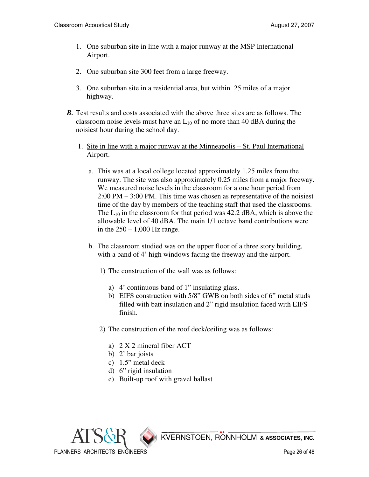- 1. One suburban site in line with a major runway at the MSP International Airport.
- 2. One suburban site 300 feet from a large freeway.
- 3. One suburban site in a residential area, but within .25 miles of a major highway.
- *B*. Test results and costs associated with the above three sites are as follows. The classroom noise levels must have an  $L_{10}$  of no more than 40 dBA during the noisiest hour during the school day.
	- 1. Site in line with a major runway at the Minneapolis St. Paul International Airport.
		- a. This was at a local college located approximately 1.25 miles from the runway. The site was also approximately 0.25 miles from a major freeway. We measured noise levels in the classroom for a one hour period from 2:00 PM – 3:00 PM. This time was chosen as representative of the noisiest time of the day by members of the teaching staff that used the classrooms. The  $L_{10}$  in the classroom for that period was 42.2 dBA, which is above the allowable level of 40 dBA. The main 1/1 octave band contributions were in the  $250 - 1,000$  Hz range.
		- b. The classroom studied was on the upper floor of a three story building, with a band of 4' high windows facing the freeway and the airport.
			- 1) The construction of the wall was as follows:
				- a) 4' continuous band of 1" insulating glass.
				- b) EIFS construction with 5/8" GWB on both sides of 6" metal studs filled with batt insulation and 2" rigid insulation faced with EIFS finish.
			- 2) The construction of the roof deck/ceiling was as follows:
				- a) 2 X 2 mineral fiber ACT
				- b) 2' bar joists
				- c) 1.5" metal deck
				- d) 6" rigid insulation
				- e) Built-up roof with gravel ballast

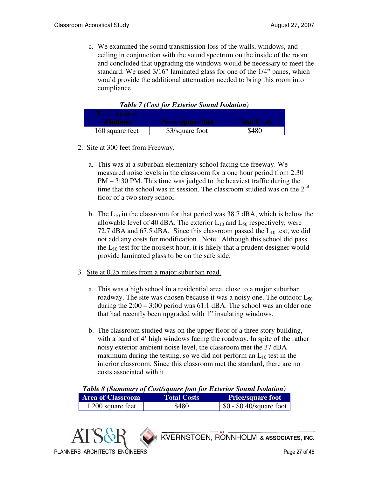c. We examined the sound transmission loss of the walls, windows, and ceiling in conjunction with the sound spectrum on the inside of the room and concluded that upgrading the windows would be necessary to meet the standard. We used 3/16" laminated glass for one of the 1/4" panes, which would provide the additional attenuation needed to bring this room into compliance.

| Total Area of   |                          |             |
|-----------------|--------------------------|-------------|
| <b>Windows</b>  | <b>Price/square foot</b> | Total Costs |
| 160 square feet | \$3/square foot          | \$480       |

*Table 7 (Cost for Exterior Sound Isolation)* 

- 2. Site at 300 feet from Freeway.
	- a. This was at a suburban elementary school facing the freeway. We measured noise levels in the classroom for a one hour period from 2:30 PM – 3:30 PM. This time was judged to the heaviest traffic during the time that the school was in session. The classroom studied was on the 2<sup>nd</sup> floor of a two story school.
	- b. The  $L_{10}$  in the classroom for that period was 38.7 dBA, which is below the allowable level of 40 dBA. The exterior  $L_{10}$  and  $L_{50}$  respectively, were 72.7 dBA and 67.5 dBA. Since this classroom passed the  $L_{10}$  test, we did not add any costs for modification. Note: Although this school did pass the  $L_{10}$  test for the noisiest hour, it is likely that a prudent designer would provide laminated glass to be on the safe side.
- 3. Site at 0.25 miles from a major suburban road.
	- a. This was a high school in a residential area, close to a major suburban roadway. The site was chosen because it was a noisy one. The outdoor  $L_{50}$ during the 2:00 – 3:00 period was 61.1 dBA. The school was an older one that had recently been upgraded with 1" insulating windows.
	- b. The classroom studied was on the upper floor of a three story building, with a band of 4' high windows facing the roadway. In spite of the rather noisy exterior ambient noise level, the classroom met the 37 dBA maximum during the testing, so we did not perform an  $L_{10}$  test in the interior classroom. Since this classroom met the standard, there are no costs associated with it.

| Table 8 (Summary of Cost/square foot for Exterior Sound Isolation) |                    |                                  |  |  |
|--------------------------------------------------------------------|--------------------|----------------------------------|--|--|
| <b>Area of Classroom</b>                                           | <b>Total Costs</b> | <b>Price/square foot</b>         |  |  |
| 1,200 square feet                                                  | \$480              | $\vert$ \$0 - \$0.40/square foot |  |  |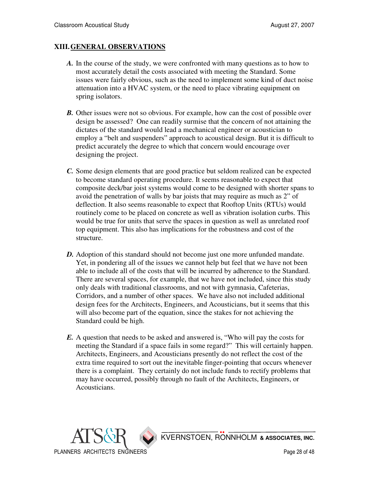#### **XIII.GENERAL OBSERVATIONS**

- *A.* In the course of the study, we were confronted with many questions as to how to most accurately detail the costs associated with meeting the Standard. Some issues were fairly obvious, such as the need to implement some kind of duct noise attenuation into a HVAC system, or the need to place vibrating equipment on spring isolators.
- *B.* Other issues were not so obvious. For example, how can the cost of possible over design be assessed? One can readily surmise that the concern of not attaining the dictates of the standard would lead a mechanical engineer or acoustician to employ a "belt and suspenders" approach to acoustical design. But it is difficult to predict accurately the degree to which that concern would encourage over designing the project.
- *C.* Some design elements that are good practice but seldom realized can be expected to become standard operating procedure. It seems reasonable to expect that composite deck/bar joist systems would come to be designed with shorter spans to avoid the penetration of walls by bar joists that may require as much as 2" of deflection. It also seems reasonable to expect that Rooftop Units (RTUs) would routinely come to be placed on concrete as well as vibration isolation curbs. This would be true for units that serve the spaces in question as well as unrelated roof top equipment. This also has implications for the robustness and cost of the structure.
- *D.* Adoption of this standard should not become just one more unfunded mandate. Yet, in pondering all of the issues we cannot help but feel that we have not been able to include all of the costs that will be incurred by adherence to the Standard. There are several spaces, for example, that we have not included, since this study only deals with traditional classrooms, and not with gymnasia, Cafeterias, Corridors, and a number of other spaces. We have also not included additional design fees for the Architects, Engineers, and Acousticians, but it seems that this will also become part of the equation, since the stakes for not achieving the Standard could be high.
- *E.* A question that needs to be asked and answered is, "Who will pay the costs for meeting the Standard if a space fails in some regard?" This will certainly happen. Architects, Engineers, and Acousticians presently do not reflect the cost of the extra time required to sort out the inevitable finger-pointing that occurs whenever there is a complaint. They certainly do not include funds to rectify problems that may have occurred, possibly through no fault of the Architects, Engineers, or Acousticians.

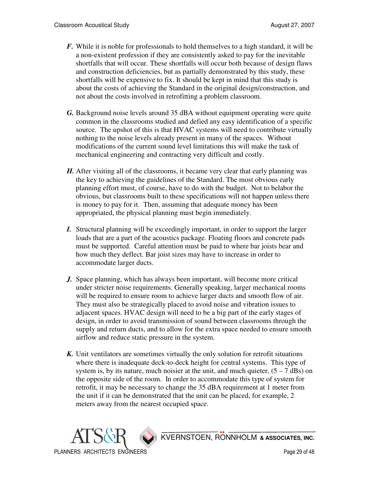- *F.* While it is noble for professionals to hold themselves to a high standard, it will be a non-existent profession if they are consistently asked to pay for the inevitable shortfalls that will occur. These shortfalls will occur both because of design flaws and construction deficiencies, but as partially demonstrated by this study, these shortfalls will be expensive to fix. It should be kept in mind that this study is about the costs of achieving the Standard in the original design/construction, and not about the costs involved in retrofitting a problem classroom.
- *G.* Background noise levels around 35 dBA without equipment operating were quite common in the classrooms studied and defied any easy identification of a specific source. The upshot of this is that HVAC systems will need to contribute virtually nothing to the noise levels already present in many of the spaces. Without modifications of the current sound level limitations this will make the task of mechanical engineering and contracting very difficult and costly.
- *H.* After visiting all of the classrooms, it became very clear that early planning was the key to achieving the guidelines of the Standard. The most obvious early planning effort must, of course, have to do with the budget. Not to belabor the obvious, but classrooms built to these specifications will not happen unless there is money to pay for it. Then, assuming that adequate money has been appropriated, the physical planning must begin immediately.
- *I.* Structural planning will be exceedingly important, in order to support the larger loads that are a part of the acoustics package. Floating floors and concrete pads must be supported. Careful attention must be paid to where bar joists bear and how much they deflect. Bar joist sizes may have to increase in order to accommodate larger ducts.
- *J.* Space planning, which has always been important, will become more critical under stricter noise requirements. Generally speaking, larger mechanical rooms will be required to ensure room to achieve larger ducts and smooth flow of air. They must also be strategically placed to avoid noise and vibration issues to adjacent spaces. HVAC design will need to be a big part of the early stages of design, in order to avoid transmission of sound between classrooms through the supply and return ducts, and to allow for the extra space needed to ensure smooth airflow and reduce static pressure in the system.
- *K.* Unit ventilators are sometimes virtually the only solution for retrofit situations where there is inadequate deck-to-deck height for central systems. This type of system is, by its nature, much noisier at the unit, and much quieter,  $(5 - 7 \text{ dBs})$  on the opposite side of the room. In order to accommodate this type of system for retrofit, it may be necessary to change the 35 dBA requirement at 1 meter from the unit if it can be demonstrated that the unit can be placed, for example, 2 meters away from the nearest occupied space.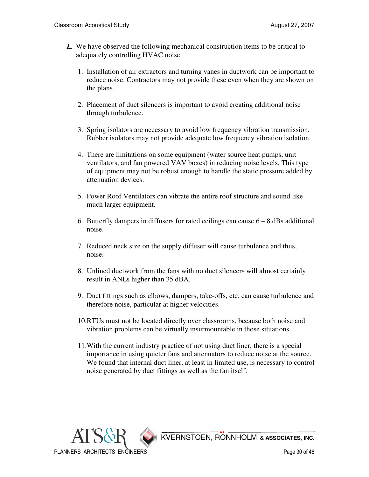- *L.* We have observed the following mechanical construction items to be critical to adequately controlling HVAC noise.
	- 1. Installation of air extractors and turning vanes in ductwork can be important to reduce noise. Contractors may not provide these even when they are shown on the plans.
	- 2. Placement of duct silencers is important to avoid creating additional noise through turbulence.
	- 3. Spring isolators are necessary to avoid low frequency vibration transmission. Rubber isolators may not provide adequate low frequency vibration isolation.
	- 4. There are limitations on some equipment (water source heat pumps, unit ventilators, and fan powered VAV boxes) in reducing noise levels. This type of equipment may not be robust enough to handle the static pressure added by attenuation devices.
	- 5. Power Roof Ventilators can vibrate the entire roof structure and sound like much larger equipment.
	- 6. Butterfly dampers in diffusers for rated ceilings can cause  $6 8$  dBs additional noise.
	- 7. Reduced neck size on the supply diffuser will cause turbulence and thus, noise.
	- 8. Unlined ductwork from the fans with no duct silencers will almost certainly result in ANLs higher than 35 dBA.
	- 9. Duct fittings such as elbows, dampers, take-offs, etc. can cause turbulence and therefore noise, particular at higher velocities.
	- 10.RTUs must not be located directly over classrooms, because both noise and vibration problems can be virtually insurmountable in those situations.
	- 11.With the current industry practice of not using duct liner, there is a special importance in using quieter fans and attenuators to reduce noise at the source. We found that internal duct liner, at least in limited use, is necessary to control noise generated by duct fittings as well as the fan itself.

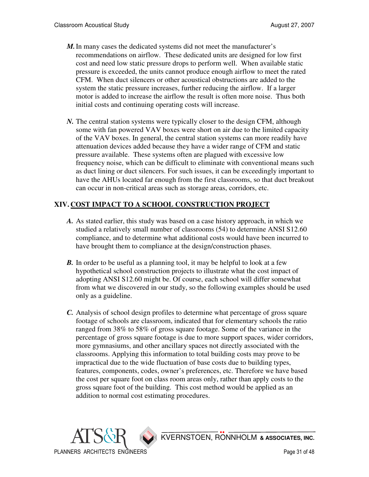- *M.*In many cases the dedicated systems did not meet the manufacturer's recommendations on airflow. These dedicated units are designed for low first cost and need low static pressure drops to perform well. When available static pressure is exceeded, the units cannot produce enough airflow to meet the rated CFM. When duct silencers or other acoustical obstructions are added to the system the static pressure increases, further reducing the airflow. If a larger motor is added to increase the airflow the result is often more noise. Thus both initial costs and continuing operating costs will increase.
- *N.* The central station systems were typically closer to the design CFM, although some with fan powered VAV boxes were short on air due to the limited capacity of the VAV boxes. In general, the central station systems can more readily have attenuation devices added because they have a wider range of CFM and static pressure available. These systems often are plagued with excessive low frequency noise, which can be difficult to eliminate with conventional means such as duct lining or duct silencers. For such issues, it can be exceedingly important to have the AHUs located far enough from the first classrooms, so that duct breakout can occur in non-critical areas such as storage areas, corridors, etc.

## **XIV. COST IMPACT TO A SCHOOL CONSTRUCTION PROJECT**

- *A.* As stated earlier, this study was based on a case history approach, in which we studied a relatively small number of classrooms (54) to determine ANSI S12.60 compliance, and to determine what additional costs would have been incurred to have brought them to compliance at the design/construction phases.
- *B*. In order to be useful as a planning tool, it may be helpful to look at a few hypothetical school construction projects to illustrate what the cost impact of adopting ANSI S12.60 might be. Of course, each school will differ somewhat from what we discovered in our study, so the following examples should be used only as a guideline.
- *C.* Analysis of school design profiles to determine what percentage of gross square footage of schools are classroom, indicated that for elementary schools the ratio ranged from 38% to 58% of gross square footage. Some of the variance in the percentage of gross square footage is due to more support spaces, wider corridors, more gymnasiums, and other ancillary spaces not directly associated with the classrooms. Applying this information to total building costs may prove to be impractical due to the wide fluctuation of base costs due to building types, features, components, codes, owner's preferences, etc. Therefore we have based the cost per square foot on class room areas only, rather than apply costs to the gross square foot of the building. This cost method would be applied as an addition to normal cost estimating procedures.

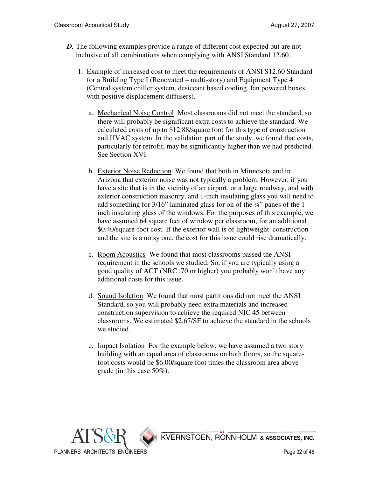- *D*. The following examples provide a range of different cost expected but are not inclusive of all combinations when complying with ANSI Standard 12.60.
	- 1. Example of increased cost to meet the requirements of ANSI S12.60 Standard for a Building Type I (Renovated – multi-story) and Equipment Type 4 (Central system chiller system, desiccant based cooling, fan powered boxes with positive displacement diffusers).
		- a. Mechanical Noise Control Most classrooms did not meet the standard, so there will probably be significant extra costs to achieve the standard. We calculated costs of up to \$12.88/square foot for this type of construction and HVAC system. In the validation part of the study, we found that costs, particularly for retrofit, may be significantly higher than we had predicted. See Section XVI
		- b. Exterior Noise Reduction We found that both in Minnesota and in Arizona that exterior noise was not typically a problem. However, if you have a site that is in the vicinity of an airport, or a large roadway, and with exterior construction masonry, and 1-inch insulating glass you will need to add something for 3/16" laminated glass for on of the ¼" panes of the 1 inch insulating glass of the windows. For the purposes of this example, we have assumed 64 square feet of window per classroom, for an additional \$0.40/square-foot cost. If the exterior wall is of lightweight construction and the site is a noisy one, the cost for this issue could rise dramatically.
		- c. Room Acoustics We found that most classrooms passed the ANSI requirement in the schools we studied. So, if you are typically using a good quality of ACT (NRC .70 or higher) you probably won't have any additional costs for this issue.
		- d. Sound Isolation We found that most partitions did not meet the ANSI Standard, so you will probably need extra materials and increased construction supervision to achieve the required NIC 45 between classrooms. We estimated \$2.67/SF to achieve the standard in the schools we studied.
		- e. Impact Isolation For the example below, we have assumed a two story building with an equal area of classrooms on both floors, so the squarefoot costs would be \$6.00/square foot times the classroom area above grade (in this case 50%).

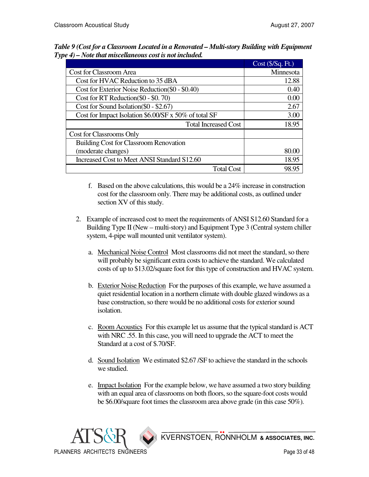|                                                       | Cost (\$/Sq. Ft.) |
|-------------------------------------------------------|-------------------|
| Cost for Classroom Area                               | Minnesota         |
| Cost for HVAC Reduction to 35 dBA                     | 12.88             |
| Cost for Exterior Noise Reduction (\$0 - \$0.40)      | 0.40              |
| Cost for RT Reduction (\$0 - \$0.70)                  | 0.00              |
| Cost for Sound Isolation (\$0 - \$2.67)               | 2.67              |
| Cost for Impact Isolation \$6.00/SF x 50% of total SF | 3.00              |
| <b>Total Increased Cost</b>                           | 18.95             |
| Cost for Classrooms Only                              |                   |
| <b>Building Cost for Classroom Renovation</b>         |                   |
| (moderate changes)                                    | 80.00             |
| Increased Cost to Meet ANSI Standard S12.60           | 18.95             |
| <b>Total Cost</b>                                     | 98.95             |

*Table 9 (Cost for a Classroom Located in a Renovated – Multi-story Building with Equipment Type 4) – Note that miscellaneous cost is not included.* 

 f. Based on the above calculations, this would be a 24% increase in construction cost for the classroom only. There may be additional costs, as outlined under section XV of this study.

- 2. Example of increased cost to meet the requirements of ANSI S12.60 Standard for a Building Type II (New – multi-story) and Equipment Type 3 (Central system chiller system, 4-pipe wall mounted unit ventilator system).
	- a. Mechanical Noise Control Most classrooms did not meet the standard, so there will probably be significant extra costs to achieve the standard. We calculated costs of up to \$13.02/square foot for this type of construction and HVAC system.
	- b. Exterior Noise Reduction For the purposes of this example, we have assumed a quiet residential location in a northern climate with double glazed windows as a base construction, so there would be no additional costs for exterior sound isolation.
	- c. Room Acoustics For this example let us assume that the typical standard is ACT with NRC .55. In this case, you will need to upgrade the ACT to meet the Standard at a cost of \$.70/SF.
	- d. Sound Isolation We estimated \$2.67 /SF to achieve the standard in the schools we studied.
	- e. Impact Isolation For the example below, we have assumed a two story building with an equal area of classrooms on both floors, so the square-foot costs would be \$6.00/square foot times the classroom area above grade (in this case 50%).

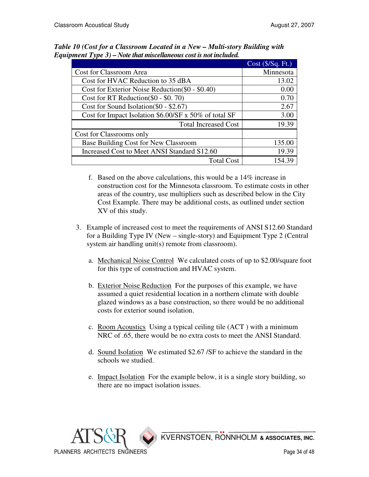|                                                       | $Cost$ ( $\frac{S}{Sq}$ . Ft.) |
|-------------------------------------------------------|--------------------------------|
| Cost for Classroom Area                               | Minnesota                      |
| Cost for HVAC Reduction to 35 dBA                     | 13.02                          |
| Cost for Exterior Noise Reduction (\$0 - \$0.40)      | 0.00                           |
| Cost for RT Reduction( $$0 - $0.70$ )                 | 0.70                           |
| Cost for Sound Isolation (\$0 - \$2.67)               | 2.67                           |
| Cost for Impact Isolation \$6.00/SF x 50% of total SF | 3.00                           |
| <b>Total Increased Cost</b>                           | 19.39                          |
| Cost for Classrooms only                              |                                |
| Base Building Cost for New Classroom                  | 135.00                         |
| Increased Cost to Meet ANSI Standard S12.60           | 19.39                          |
| <b>Total Cost</b>                                     | 154.39                         |

*Table 10 (Cost for a Classroom Located in a New – Multi-story Building with Equipment Type 3) – Note that miscellaneous cost is not included.* 

- f. Based on the above calculations, this would be a 14% increase in construction cost for the Minnesota classroom. To estimate costs in other areas of the country, use multipliers such as described below in the City Cost Example. There may be additional costs, as outlined under section XV of this study.
- 3. Example of increased cost to meet the requirements of ANSI S12.60 Standard for a Building Type IV (New – single-story) and Equipment Type 2 (Central system air handling unit(s) remote from classroom).
	- a. Mechanical Noise Control We calculated costs of up to \$2.00/square foot for this type of construction and HVAC system.
	- b. Exterior Noise Reduction For the purposes of this example, we have assumed a quiet residential location in a northern climate with double glazed windows as a base construction, so there would be no additional costs for exterior sound isolation.
	- c. Room Acoustics Using a typical ceiling tile (ACT ) with a minimum NRC of .65, there would be no extra costs to meet the ANSI Standard.
	- d. Sound Isolation We estimated \$2.67 /SF to achieve the standard in the schools we studied.
	- e. Impact Isolation For the example below, it is a single story building, so there are no impact isolation issues.

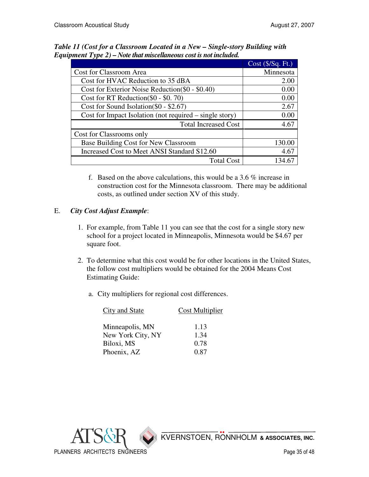| $Cost$ ( $\frac{S}{Sq}$ . Ft.) |
|--------------------------------|
| Minnesota                      |
| 2.00                           |
| 0.00                           |
| 0.00                           |
| 2.67                           |
| 0.00                           |
| 4.67                           |
|                                |
| 130.00                         |
| 4.67                           |
| 134.67                         |
|                                |

*Table 11 (Cost for a Classroom Located in a New – Single-story Building with Equipment Type 2) – Note that miscellaneous cost is not included.* 

 f. Based on the above calculations, this would be a 3.6 % increase in construction cost for the Minnesota classroom. There may be additional costs, as outlined under section XV of this study.

## E. *City Cost Adjust Example*:

- 1. For example, from Table 11 you can see that the cost for a single story new school for a project located in Minneapolis, Minnesota would be \$4.67 per square foot.
- 2. To determine what this cost would be for other locations in the United States, the follow cost multipliers would be obtained for the 2004 Means Cost Estimating Guide:
	- a. City multipliers for regional cost differences.

| City and State    | Cost Multiplier |
|-------------------|-----------------|
|                   |                 |
| Minneapolis, MN   | 1.13            |
| New York City, NY | 1.34            |
| Biloxi, MS        | 0.78            |
| Phoenix, AZ       | 0.87            |

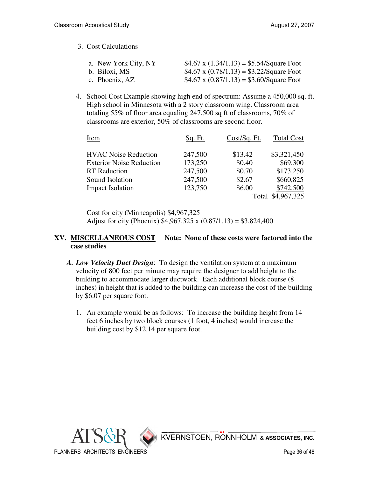3. Cost Calculations

| a. New York City, NY | \$4.67 x $(1.34/1.13) = $5.54/Square$ Foot |
|----------------------|--------------------------------------------|
| b. Biloxi, MS        | \$4.67 x $(0.78/1.13) = $3.22/Square$ Foot |
| c. Phoenix, AZ       | \$4.67 x $(0.87/1.13) = $3.60/Square$ Foot |

4. School Cost Example showing high end of spectrum: Assume a 450,000 sq. ft. High school in Minnesota with a 2 story classroom wing. Classroom area totaling 55% of floor area equaling 247,500 sq ft of classrooms, 70% of classrooms are exterior, 50% of classrooms are second floor.

| Item                            | Sq. Ft. | Cost/Sq. Ft. | <b>Total Cost</b> |
|---------------------------------|---------|--------------|-------------------|
| <b>HVAC Noise Reduction</b>     | 247,500 | \$13.42      | \$3,321,450       |
| <b>Exterior Noise Reduction</b> | 173,250 | \$0.40       | \$69,300          |
| <b>RT</b> Reduction             | 247,500 | \$0.70       | \$173,250         |
| Sound Isolation                 | 247,500 | \$2.67       | \$660,825         |
| <b>Impact Isolation</b>         | 123,750 | \$6.00       | \$742,500         |
|                                 |         |              | Total \$4,967,325 |

Cost for city (Minneapolis) \$4,967,325 Adjust for city (Phoenix)  $$4,967,325 \times (0.87/1.13) = $3,824,400$ 

#### **XV. MISCELLANEOUS COST Note: None of these costs were factored into the case studies**

- *A. Low Velocity Duct Design*: To design the ventilation system at a maximum velocity of 800 feet per minute may require the designer to add height to the building to accommodate larger ductwork. Each additional block course (8 inches) in height that is added to the building can increase the cost of the building by \$6.07 per square foot.
	- 1. An example would be as follows: To increase the building height from 14 feet 6 inches by two block courses (1 foot, 4 inches) would increase the building cost by \$12.14 per square foot.

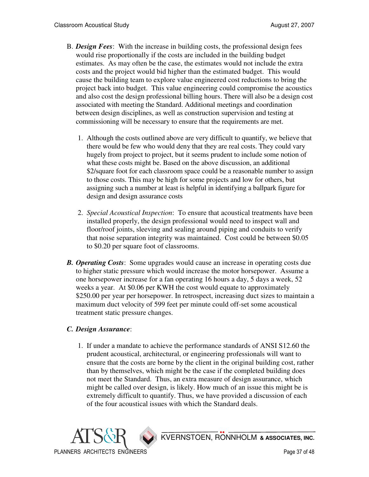- B. *Design Fees*: With the increase in building costs, the professional design fees would rise proportionally if the costs are included in the building budget estimates. As may often be the case, the estimates would not include the extra costs and the project would bid higher than the estimated budget. This would cause the building team to explore value engineered cost reductions to bring the project back into budget. This value engineering could compromise the acoustics and also cost the design professional billing hours. There will also be a design cost associated with meeting the Standard. Additional meetings and coordination between design disciplines, as well as construction supervision and testing at commissioning will be necessary to ensure that the requirements are met.
	- 1. Although the costs outlined above are very difficult to quantify, we believe that there would be few who would deny that they are real costs. They could vary hugely from project to project, but it seems prudent to include some notion of what these costs might be. Based on the above discussion, an additional \$2/square foot for each classroom space could be a reasonable number to assign to those costs. This may be high for some projects and low for others, but assigning such a number at least is helpful in identifying a ballpark figure for design and design assurance costs
	- 2. *Special Acoustical Inspection*: To ensure that acoustical treatments have been installed properly, the design professional would need to inspect wall and floor/roof joints, sleeving and sealing around piping and conduits to verify that noise separation integrity was maintained. Cost could be between \$0.05 to \$0.20 per square foot of classrooms.
- *B. Operating Costs*: Some upgrades would cause an increase in operating costs due to higher static pressure which would increase the motor horsepower. Assume a one horsepower increase for a fan operating 16 hours a day, 5 days a week, 52 weeks a year. At \$0.06 per KWH the cost would equate to approximately \$250.00 per year per horsepower. In retrospect, increasing duct sizes to maintain a maximum duct velocity of 599 feet per minute could off-set some acoustical treatment static pressure changes.

#### *C. Design Assurance*:

 1. If under a mandate to achieve the performance standards of ANSI S12.60 the prudent acoustical, architectural, or engineering professionals will want to ensure that the costs are borne by the client in the original building cost, rather than by themselves, which might be the case if the completed building does not meet the Standard. Thus, an extra measure of design assurance, which might be called over design, is likely. How much of an issue this might be is extremely difficult to quantify. Thus, we have provided a discussion of each of the four acoustical issues with which the Standard deals.

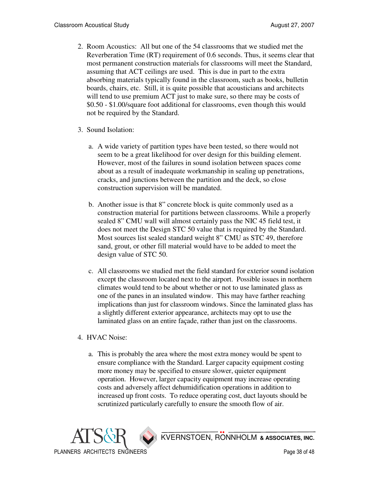- 2. Room Acoustics: All but one of the 54 classrooms that we studied met the Reverberation Time (RT) requirement of 0.6 seconds. Thus, it seems clear that most permanent construction materials for classrooms will meet the Standard, assuming that ACT ceilings are used. This is due in part to the extra absorbing materials typically found in the classroom, such as books, bulletin boards, chairs, etc. Still, it is quite possible that acousticians and architects will tend to use premium ACT just to make sure, so there may be costs of \$0.50 - \$1.00/square foot additional for classrooms, even though this would not be required by the Standard.
- 3. Sound Isolation:
	- a. A wide variety of partition types have been tested, so there would not seem to be a great likelihood for over design for this building element. However, most of the failures in sound isolation between spaces come about as a result of inadequate workmanship in sealing up penetrations, cracks, and junctions between the partition and the deck, so close construction supervision will be mandated.
	- b. Another issue is that 8" concrete block is quite commonly used as a construction material for partitions between classrooms. While a properly sealed 8" CMU wall will almost certainly pass the NIC 45 field test, it does not meet the Design STC 50 value that is required by the Standard. Most sources list sealed standard weight 8" CMU as STC 49, therefore sand, grout, or other fill material would have to be added to meet the design value of STC 50.
	- c. All classrooms we studied met the field standard for exterior sound isolation except the classroom located next to the airport. Possible issues in northern climates would tend to be about whether or not to use laminated glass as one of the panes in an insulated window. This may have farther reaching implications than just for classroom windows. Since the laminated glass has a slightly different exterior appearance, architects may opt to use the laminated glass on an entire façade, rather than just on the classrooms.
- 4. HVAC Noise:
	- a. This is probably the area where the most extra money would be spent to ensure compliance with the Standard. Larger capacity equipment costing more money may be specified to ensure slower, quieter equipment operation. However, larger capacity equipment may increase operating costs and adversely affect dehumidification operations in addition to increased up front costs. To reduce operating cost, duct layouts should be scrutinized particularly carefully to ensure the smooth flow of air.

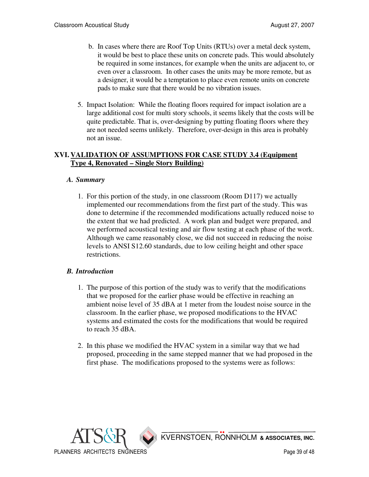- b. In cases where there are Roof Top Units (RTUs) over a metal deck system, it would be best to place these units on concrete pads. This would absolutely be required in some instances, for example when the units are adjacent to, or even over a classroom. In other cases the units may be more remote, but as a designer, it would be a temptation to place even remote units on concrete pads to make sure that there would be no vibration issues.
- 5. Impact Isolation: While the floating floors required for impact isolation are a large additional cost for multi story schools, it seems likely that the costs will be quite predictable. That is, over-designing by putting floating floors where they are not needed seems unlikely. Therefore, over-design in this area is probably not an issue.

#### **XVI. VALIDATION OF ASSUMPTIONS FOR CASE STUDY 3.4 (Equipment Type 4, Renovated – Single Story Building)**

#### *A. Summary*

 1. For this portion of the study, in one classroom (Room D117) we actually implemented our recommendations from the first part of the study. This was done to determine if the recommended modifications actually reduced noise to the extent that we had predicted. A work plan and budget were prepared, and we performed acoustical testing and air flow testing at each phase of the work. Although we came reasonably close, we did not succeed in reducing the noise levels to ANSI S12.60 standards, due to low ceiling height and other space restrictions.

#### *B. Introduction*

- 1. The purpose of this portion of the study was to verify that the modifications that we proposed for the earlier phase would be effective in reaching an ambient noise level of 35 dBA at 1 meter from the loudest noise source in the classroom. In the earlier phase, we proposed modifications to the HVAC systems and estimated the costs for the modifications that would be required to reach 35 dBA.
- 2. In this phase we modified the HVAC system in a similar way that we had proposed, proceeding in the same stepped manner that we had proposed in the first phase. The modifications proposed to the systems were as follows:

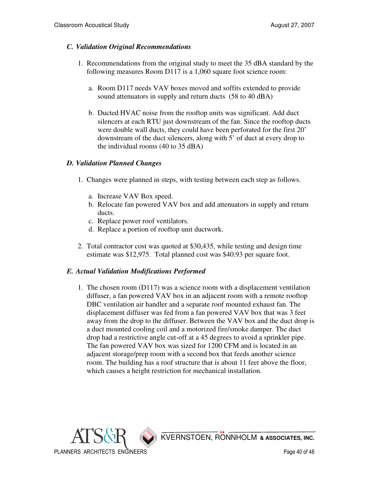#### *C. Validation Original Recommendations*

- 1. Recommendations from the original study to meet the 35 dBA standard by the following measures Room D117 is a 1,060 square foot science room:
	- a. Room D117 needs VAV boxes moved and soffits extended to provide sound attenuators in supply and return ducts (58 to 40 dBA)
	- b. Ducted HVAC noise from the rooftop units was significant. Add duct silencers at each RTU just downstream of the fan. Since the rooftop ducts were double wall ducts, they could have been perforated for the first 20' downstream of the duct silencers, along with 5' of duct at every drop to the individual rooms (40 to 35 dBA)

#### *D. Validation Planned Changes*

- 1. Changes were planned in steps, with testing between each step as follows.
	- a. Increase VAV Box speed.
	- b. Relocate fan powered VAV box and add attenuators in supply and return ducts.
	- c. Replace power roof ventilators.
	- d. Replace a portion of rooftop unit ductwork.
- 2. Total contractor cost was quoted at \$30,435, while testing and design time estimate was \$12,975. Total planned cost was \$40.93 per square foot.

#### *E. Actual Validation Modifications Performed*

 1. The chosen room (D117) was a science room with a displacement ventilation diffuser, a fan powered VAV box in an adjacent room with a remote rooftop DBC ventilation air handler and a separate roof mounted exhaust fan. The displacement diffuser was fed from a fan powered VAV box that was 3 feet away from the drop to the diffuser. Between the VAV box and the duct drop is a duct mounted cooling coil and a motorized fire/smoke damper. The duct drop had a restrictive angle cut-off at a 45 degrees to avoid a sprinkler pipe. The fan powered VAV box was sized for 1200 CFM and is located in an adjacent storage/prep room with a second box that feeds another science room. The building has a roof structure that is about 11 feet above the floor, which causes a height restriction for mechanical installation.

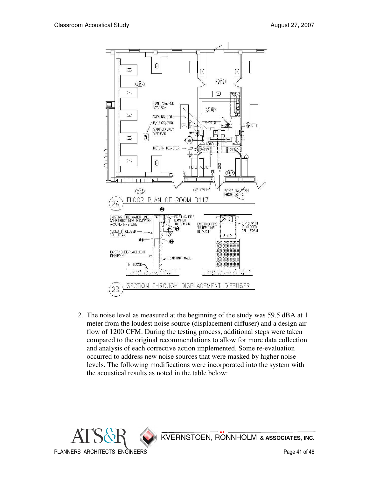

 2. The noise level as measured at the beginning of the study was 59.5 dBA at 1 meter from the loudest noise source (displacement diffuser) and a design air flow of 1200 CFM. During the testing process, additional steps were taken compared to the original recommendations to allow for more data collection and analysis of each corrective action implemented. Some re-evaluation occurred to address new noise sources that were masked by higher noise levels. The following modifications were incorporated into the system with the acoustical results as noted in the table below:

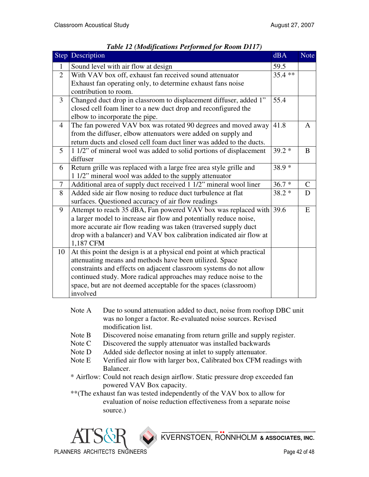|                | Step Description                                                       | dBA       | <b>Note</b>   |
|----------------|------------------------------------------------------------------------|-----------|---------------|
| $\mathbf{1}$   | Sound level with air flow at design                                    | 59.5      |               |
| $\overline{2}$ | With VAV box off, exhaust fan received sound attenuator                | $35.4***$ |               |
|                | Exhaust fan operating only, to determine exhaust fans noise            |           |               |
|                | contribution to room.                                                  |           |               |
| 3              | Changed duct drop in classroom to displacement diffuser, added 1"      | 55.4      |               |
|                | closed cell foam liner to a new duct drop and reconfigured the         |           |               |
|                | elbow to incorporate the pipe.                                         |           |               |
| $\overline{4}$ | The fan powered VAV box was rotated 90 degrees and moved away          | 41.8      | A             |
|                | from the diffuser, elbow attenuators were added on supply and          |           |               |
|                | return ducts and closed cell foam duct liner was added to the ducts.   |           |               |
| 5              | 1 1/2" of mineral wool was added to solid portions of displacement     | $39.2*$   | B             |
|                | diffuser                                                               |           |               |
| 6              | Return grille was replaced with a large free area style grille and     | $38.9*$   |               |
|                | 1 1/2" mineral wool was added to the supply attenuator                 |           |               |
| $\tau$         | Additional area of supply duct received 1 1/2" mineral wool liner      | $36.7*$   | $\mathcal{C}$ |
| 8              | Added side air flow nosing to reduce duct turbulence at flat           | $38.2*$   | D             |
|                | surfaces. Questioned accuracy of air flow readings                     |           |               |
| 9              | Attempt to reach 35 dBA, Fan powered VAV box was replaced with         | 39.6      | E             |
|                | a larger model to increase air flow and potentially reduce noise,      |           |               |
|                | more accurate air flow reading was taken (traversed supply duct        |           |               |
|                | drop with a balancer) and VAV box calibration indicated air flow at    |           |               |
|                | 1,187 CFM                                                              |           |               |
| 10             | At this point the design is at a physical end point at which practical |           |               |
|                | attenuating means and methods have been utilized. Space                |           |               |
|                | constraints and effects on adjacent classroom systems do not allow     |           |               |
|                | continued study. More radical approaches may reduce noise to the       |           |               |
|                | space, but are not deemed acceptable for the spaces (classroom)        |           |               |
|                | involved                                                               |           |               |

| Table 12 (Modifications Performed for Room D117) |  |  |
|--------------------------------------------------|--|--|
|                                                  |  |  |

- Note A Due to sound attenuation added to duct, noise from rooftop DBC unit was no longer a factor. Re-evaluated noise sources. Revised modification list.
- Note B Discovered noise emanating from return grille and supply register.
- Note C Discovered the supply attenuator was installed backwards
- Note D Added side deflector nosing at inlet to supply attenuator.
- Note E Verified air flow with larger box, Calibrated box CFM readings with Balancer.
- \* Airflow: Could not reach design airflow. Static pressure drop exceeded fan powered VAV Box capacity.
- \*\*(The exhaust fan was tested independently of the VAV box to allow for evaluation of noise reduction effectiveness from a separate noise source.)

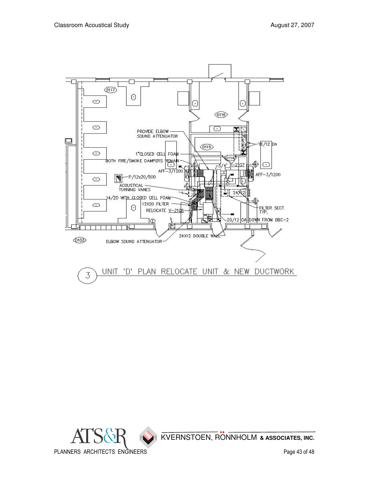

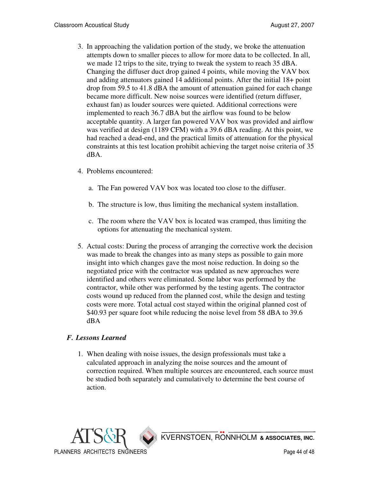- 3. In approaching the validation portion of the study, we broke the attenuation attempts down to smaller pieces to allow for more data to be collected. In all, we made 12 trips to the site, trying to tweak the system to reach 35 dBA. Changing the diffuser duct drop gained 4 points, while moving the VAV box and adding attenuators gained 14 additional points. After the initial 18+ point drop from 59.5 to 41.8 dBA the amount of attenuation gained for each change became more difficult. New noise sources were identified (return diffuser, exhaust fan) as louder sources were quieted. Additional corrections were implemented to reach 36.7 dBA but the airflow was found to be below acceptable quantity. A larger fan powered VAV box was provided and airflow was verified at design (1189 CFM) with a 39.6 dBA reading. At this point, we had reached a dead-end, and the practical limits of attenuation for the physical constraints at this test location prohibit achieving the target noise criteria of 35 dBA.
- 4. Problems encountered:
	- a. The Fan powered VAV box was located too close to the diffuser.
	- b. The structure is low, thus limiting the mechanical system installation.
	- c. The room where the VAV box is located was cramped, thus limiting the options for attenuating the mechanical system.
- 5. Actual costs: During the process of arranging the corrective work the decision was made to break the changes into as many steps as possible to gain more insight into which changes gave the most noise reduction. In doing so the negotiated price with the contractor was updated as new approaches were identified and others were eliminated. Some labor was performed by the contractor, while other was performed by the testing agents. The contractor costs wound up reduced from the planned cost, while the design and testing costs were more. Total actual cost stayed within the original planned cost of \$40.93 per square foot while reducing the noise level from 58 dBA to 39.6 dBA

## *F. Lessons Learned*

 1. When dealing with noise issues, the design professionals must take a calculated approach in analyzing the noise sources and the amount of correction required. When multiple sources are encountered, each source must be studied both separately and cumulatively to determine the best course of action.

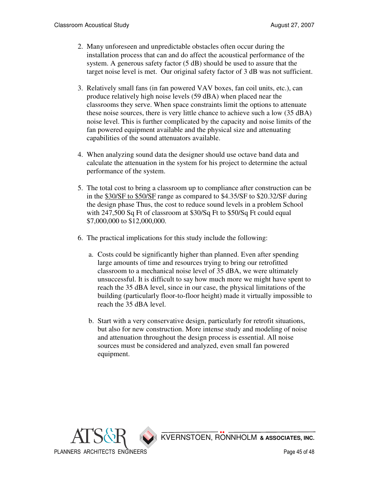- 2. Many unforeseen and unpredictable obstacles often occur during the installation process that can and do affect the acoustical performance of the system. A generous safety factor (5 dB) should be used to assure that the target noise level is met. Our original safety factor of 3 dB was not sufficient.
- 3. Relatively small fans (in fan powered VAV boxes, fan coil units, etc.), can produce relatively high noise levels (59 dBA) when placed near the classrooms they serve. When space constraints limit the options to attenuate these noise sources, there is very little chance to achieve such a low (35 dBA) noise level. This is further complicated by the capacity and noise limits of the fan powered equipment available and the physical size and attenuating capabilities of the sound attenuators available.
- 4. When analyzing sound data the designer should use octave band data and calculate the attenuation in the system for his project to determine the actual performance of the system.
- 5. The total cost to bring a classroom up to compliance after construction can be in the \$30/SF to \$50/SF range as compared to \$4.35/SF to \$20.32/SF during the design phase Thus, the cost to reduce sound levels in a problem School with 247,500 Sq Ft of classroom at \$30/Sq Ft to \$50/Sq Ft could equal \$7,000,000 to \$12,000,000.
- 6. The practical implications for this study include the following:
	- a. Costs could be significantly higher than planned. Even after spending large amounts of time and resources trying to bring our retrofitted classroom to a mechanical noise level of 35 dBA, we were ultimately unsuccessful. It is difficult to say how much more we might have spent to reach the 35 dBA level, since in our case, the physical limitations of the building (particularly floor-to-floor height) made it virtually impossible to reach the 35 dBA level.
	- b. Start with a very conservative design, particularly for retrofit situations, but also for new construction. More intense study and modeling of noise and attenuation throughout the design process is essential. All noise sources must be considered and analyzed, even small fan powered equipment.

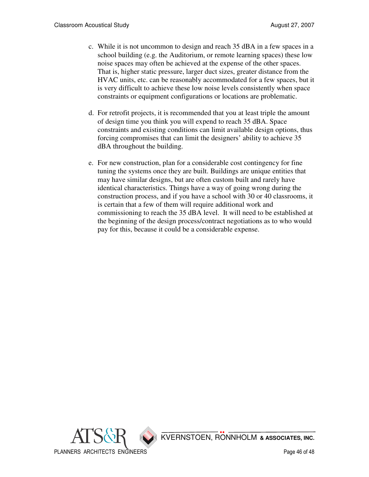- c. While it is not uncommon to design and reach 35 dBA in a few spaces in a school building (e.g. the Auditorium, or remote learning spaces) these low noise spaces may often be achieved at the expense of the other spaces. That is, higher static pressure, larger duct sizes, greater distance from the HVAC units, etc. can be reasonably accommodated for a few spaces, but it is very difficult to achieve these low noise levels consistently when space constraints or equipment configurations or locations are problematic.
- d. For retrofit projects, it is recommended that you at least triple the amount of design time you think you will expend to reach 35 dBA. Space constraints and existing conditions can limit available design options, thus forcing compromises that can limit the designers' ability to achieve 35 dBA throughout the building.
- e. For new construction, plan for a considerable cost contingency for fine tuning the systems once they are built. Buildings are unique entities that may have similar designs, but are often custom built and rarely have identical characteristics. Things have a way of going wrong during the construction process, and if you have a school with 30 or 40 classrooms, it is certain that a few of them will require additional work and commissioning to reach the 35 dBA level. It will need to be established at the beginning of the design process/contract negotiations as to who would pay for this, because it could be a considerable expense.

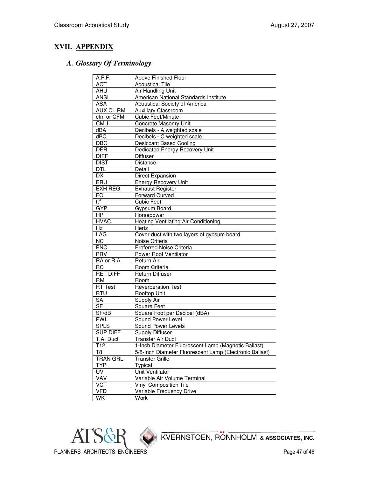## **XVII. APPENDIX**

## *A. Glossary Of Terminology*

| A.F.F.                      | <b>Above Finished Floor</b>                             |
|-----------------------------|---------------------------------------------------------|
| <b>ACT</b>                  | <b>Acoustical Tile</b>                                  |
| AHU                         | <b>Air Handling Unit</b>                                |
| <b>ANSI</b>                 | American National Standards Institute                   |
| <b>ASA</b>                  | Acoustical Society of America                           |
| <b>AUX CL RM</b>            | Auxiliary Classroom                                     |
| cfm or CFM                  | <b>Cubic Feet/Minute</b>                                |
| <b>CMU</b>                  | Concrete Masonry Unit                                   |
| dBA                         | Decibels - A weighted scale                             |
| dBC                         | Decibels - C weighted scale                             |
| <b>DBC</b>                  | <b>Desiccant Based Cooling</b>                          |
| <b>DER</b>                  | Dedicated Energy Recovery Unit                          |
| <b>DIFF</b>                 | Diffuser                                                |
| <b>DIST</b>                 | Distance                                                |
| <b>DTL</b>                  | Detail                                                  |
| DX                          | Direct Expansion                                        |
| ERU                         | <b>Energy Recovery Unit</b>                             |
| <b>EXH REG</b>              | <b>Exhaust Register</b>                                 |
| $F\overline{C}$             | <b>Forward Curved</b>                                   |
| $\overline{\mathfrak{t}^3}$ | <b>Cubic Feet</b>                                       |
| GYP                         | Gypsum Board                                            |
| <b>HP</b>                   | Horsepower                                              |
| <b>HVAC</b>                 | <b>Heating Ventilating Air Conditioning</b>             |
| Hz                          | Hertz                                                   |
| LAG                         | Cover duct with two layers of gypsum board              |
| <b>NC</b>                   | Noise Criteria                                          |
| <b>PNC</b>                  | Preferred Noise Criteria                                |
| <b>PRV</b>                  | Power Roof Ventilator                                   |
| RA or R.A.                  | Return Air                                              |
| <b>RC</b>                   | Room Criteria                                           |
| <b>RET DIFF</b>             | Return Diffuser                                         |
| RM                          | Room                                                    |
| <b>RT Test</b>              | <b>Reverberation Test</b>                               |
| <b>RTU</b>                  | Rooftop Unit                                            |
| SA                          | Supply Air                                              |
| $\overline{\mathsf{SF}}$    | <b>Square Feet</b>                                      |
| SF/dB                       | Square Foot per Decibel (dBA)                           |
| <b>PWL</b>                  | Sound Power Level                                       |
| <b>SPLS</b>                 | <b>Sound Power Levels</b>                               |
| <b>SUP DIFF</b>             | <b>Supply Diffuser</b>                                  |
| T.A. Duct                   | <b>Transfer Air Duct</b>                                |
| T12                         | 1-Inch Diameter Fluorescent Lamp (Magnetic Ballast)     |
| T8                          | 5/8-Inch Diameter Fluorescent Lamp (Electronic Ballast) |
| <b>TRAN GRL</b>             | <b>Transfer Grille</b>                                  |
| <b>TYP</b>                  | Typical                                                 |
| <b>UV</b>                   | Unit Ventilator                                         |
| VAV                         | Variable Air Volume Terminal                            |
| <b>VCT</b>                  | <b>Vinyl Composition Tile</b>                           |
| <b>VFD</b>                  | Variable Frequency Drive                                |
| WK                          | Work                                                    |